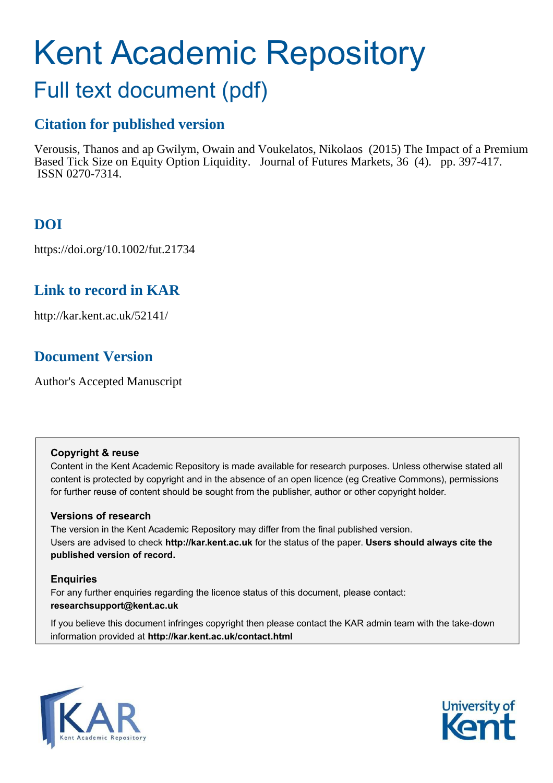# Kent Academic Repository

# Full text document (pdf)

## **Citation for published version**

Verousis, Thanos and ap Gwilym, Owain and Voukelatos, Nikolaos (2015) The Impact of a Premium Based Tick Size on Equity Option Liquidity. Journal of Futures Markets, 36 (4). pp. 397-417. ISSN 0270-7314.

## **DOI**

https://doi.org/10.1002/fut.21734

## **Link to record in KAR**

http://kar.kent.ac.uk/52141/

## **Document Version**

Author's Accepted Manuscript

#### **Copyright & reuse**

Content in the Kent Academic Repository is made available for research purposes. Unless otherwise stated all content is protected by copyright and in the absence of an open licence (eg Creative Commons), permissions for further reuse of content should be sought from the publisher, author or other copyright holder.

#### **Versions of research**

The version in the Kent Academic Repository may differ from the final published version. Users are advised to check **http://kar.kent.ac.uk** for the status of the paper. **Users should always cite the published version of record.**

#### **Enquiries**

For any further enquiries regarding the licence status of this document, please contact: **researchsupport@kent.ac.uk**

If you believe this document infringes copyright then please contact the KAR admin team with the take-down information provided at **http://kar.kent.ac.uk/contact.html**



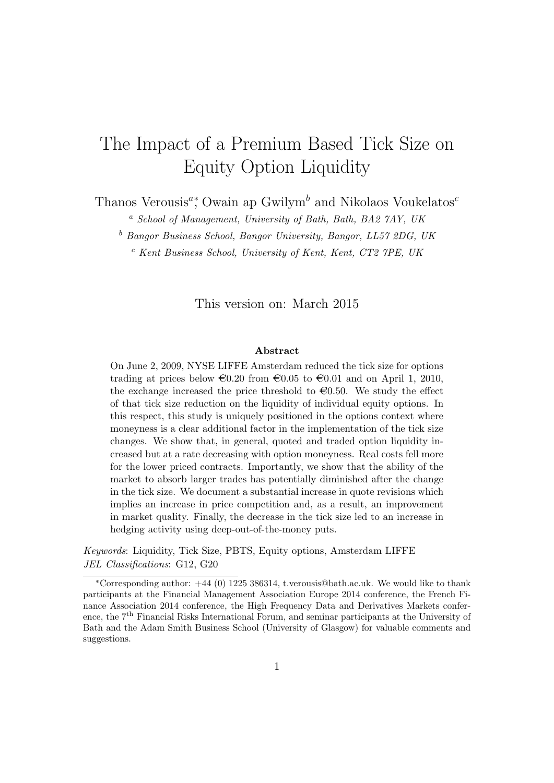## The Impact of a Premium Based Tick Size on Equity Option Liquidity

Thanos Verousis<sup> $a$ </sup><sup>\*</sup>, Owain ap Gwilym<sup>b</sup> and Nikolaos Voukelatos<sup>c</sup>

<sup>a</sup> School of Management, University of Bath, Bath, BA2 7AY, UK

<sup>b</sup> Bangor Business School, Bangor University, Bangor, LL57 2DG, UK

 $c$  Kent Business School, University of Kent, Kent, CT2 7PE, UK

This version on: March 2015

#### Abstract

On June 2, 2009, NYSE LIFFE Amsterdam reduced the tick size for options trading at prices below  $\epsilon 0.20$  from  $\epsilon 0.05$  to  $\epsilon 0.01$  and on April 1, 2010, the exchange increased the price threshold to  $\epsilon 0.50$ . We study the effect of that tick size reduction on the liquidity of individual equity options. In this respect, this study is uniquely positioned in the options context where moneyness is a clear additional factor in the implementation of the tick size changes. We show that, in general, quoted and traded option liquidity increased but at a rate decreasing with option moneyness. Real costs fell more for the lower priced contracts. Importantly, we show that the ability of the market to absorb larger trades has potentially diminished after the change in the tick size. We document a substantial increase in quote revisions which implies an increase in price competition and, as a result, an improvement in market quality. Finally, the decrease in the tick size led to an increase in hedging activity using deep-out-of-the-money puts.

Keywords: Liquidity, Tick Size, PBTS, Equity options, Amsterdam LIFFE JEL Classifications: G12, G20

<sup>∗</sup>Corresponding author: +44 (0) 1225 386314, t.verousis@bath.ac.uk. We would like to thank participants at the Financial Management Association Europe 2014 conference, the French Finance Association 2014 conference, the High Frequency Data and Derivatives Markets conference, the 7<sup>th</sup> Financial Risks International Forum, and seminar participants at the University of Bath and the Adam Smith Business School (University of Glasgow) for valuable comments and suggestions.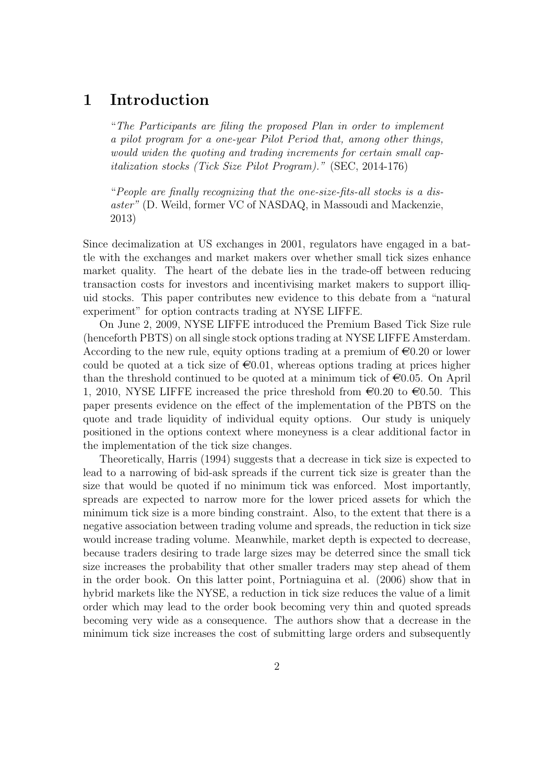## 1 Introduction

"The Participants are filing the proposed Plan in order to implement a pilot program for a one-year Pilot Period that, among other things, would widen the quoting and trading increments for certain small capitalization stocks (Tick Size Pilot Program)." (SEC, 2014-176)

"People are finally recognizing that the one-size-fits-all stocks is a disaster" (D. Weild, former VC of NASDAQ, in Massoudi and Mackenzie, 2013)

Since decimalization at US exchanges in 2001, regulators have engaged in a battle with the exchanges and market makers over whether small tick sizes enhance market quality. The heart of the debate lies in the trade-off between reducing transaction costs for investors and incentivising market makers to support illiquid stocks. This paper contributes new evidence to this debate from a "natural experiment" for option contracts trading at NYSE LIFFE.

On June 2, 2009, NYSE LIFFE introduced the Premium Based Tick Size rule (henceforth PBTS) on all single stock options trading at NYSE LIFFE Amsterdam. According to the new rule, equity options trading at a premium of  $\epsilon 0.20$  or lower could be quoted at a tick size of  $\epsilon 0.01$ , whereas options trading at prices higher than the threshold continued to be quoted at a minimum tick of  $\epsilon$ 0.05. On April 1, 2010, NYSE LIFFE increased the price threshold from  $\epsilon$ 0.20 to  $\epsilon$ 0.50. This paper presents evidence on the effect of the implementation of the PBTS on the quote and trade liquidity of individual equity options. Our study is uniquely positioned in the options context where moneyness is a clear additional factor in the implementation of the tick size changes.

Theoretically, Harris (1994) suggests that a decrease in tick size is expected to lead to a narrowing of bid-ask spreads if the current tick size is greater than the size that would be quoted if no minimum tick was enforced. Most importantly, spreads are expected to narrow more for the lower priced assets for which the minimum tick size is a more binding constraint. Also, to the extent that there is a negative association between trading volume and spreads, the reduction in tick size would increase trading volume. Meanwhile, market depth is expected to decrease, because traders desiring to trade large sizes may be deterred since the small tick size increases the probability that other smaller traders may step ahead of them in the order book. On this latter point, Portniaguina et al. (2006) show that in hybrid markets like the NYSE, a reduction in tick size reduces the value of a limit order which may lead to the order book becoming very thin and quoted spreads becoming very wide as a consequence. The authors show that a decrease in the minimum tick size increases the cost of submitting large orders and subsequently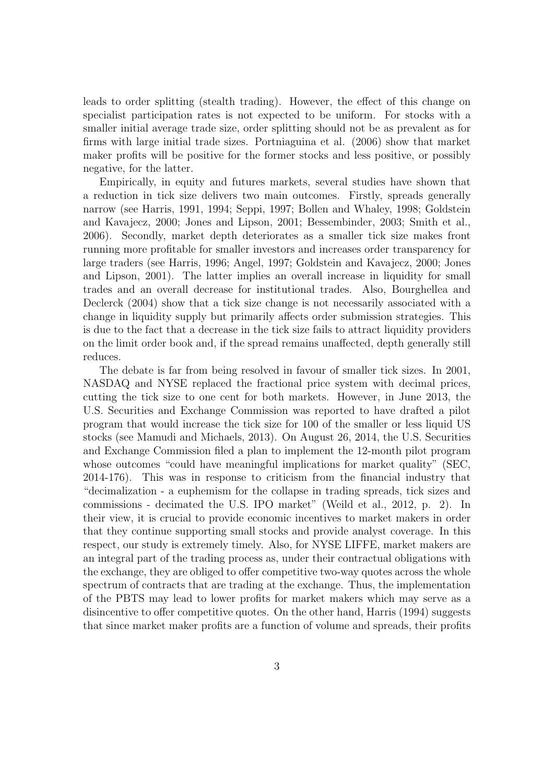leads to order splitting (stealth trading). However, the effect of this change on specialist participation rates is not expected to be uniform. For stocks with a smaller initial average trade size, order splitting should not be as prevalent as for firms with large initial trade sizes. Portniaguina et al. (2006) show that market maker profits will be positive for the former stocks and less positive, or possibly negative, for the latter.

Empirically, in equity and futures markets, several studies have shown that a reduction in tick size delivers two main outcomes. Firstly, spreads generally narrow (see Harris, 1991, 1994; Seppi, 1997; Bollen and Whaley, 1998; Goldstein and Kavajecz, 2000; Jones and Lipson, 2001; Bessembinder, 2003; Smith et al., 2006). Secondly, market depth deteriorates as a smaller tick size makes front running more profitable for smaller investors and increases order transparency for large traders (see Harris, 1996; Angel, 1997; Goldstein and Kavajecz, 2000; Jones and Lipson, 2001). The latter implies an overall increase in liquidity for small trades and an overall decrease for institutional trades. Also, Bourghellea and Declerck (2004) show that a tick size change is not necessarily associated with a change in liquidity supply but primarily affects order submission strategies. This is due to the fact that a decrease in the tick size fails to attract liquidity providers on the limit order book and, if the spread remains unaffected, depth generally still reduces.

The debate is far from being resolved in favour of smaller tick sizes. In 2001, NASDAQ and NYSE replaced the fractional price system with decimal prices, cutting the tick size to one cent for both markets. However, in June 2013, the U.S. Securities and Exchange Commission was reported to have drafted a pilot program that would increase the tick size for 100 of the smaller or less liquid US stocks (see Mamudi and Michaels, 2013). On August 26, 2014, the U.S. Securities and Exchange Commission filed a plan to implement the 12-month pilot program whose outcomes "could have meaningful implications for market quality" (SEC, 2014-176). This was in response to criticism from the financial industry that "decimalization - a euphemism for the collapse in trading spreads, tick sizes and commissions - decimated the U.S. IPO market" (Weild et al., 2012, p. 2). In their view, it is crucial to provide economic incentives to market makers in order that they continue supporting small stocks and provide analyst coverage. In this respect, our study is extremely timely. Also, for NYSE LIFFE, market makers are an integral part of the trading process as, under their contractual obligations with the exchange, they are obliged to offer competitive two-way quotes across the whole spectrum of contracts that are trading at the exchange. Thus, the implementation of the PBTS may lead to lower profits for market makers which may serve as a disincentive to offer competitive quotes. On the other hand, Harris (1994) suggests that since market maker profits are a function of volume and spreads, their profits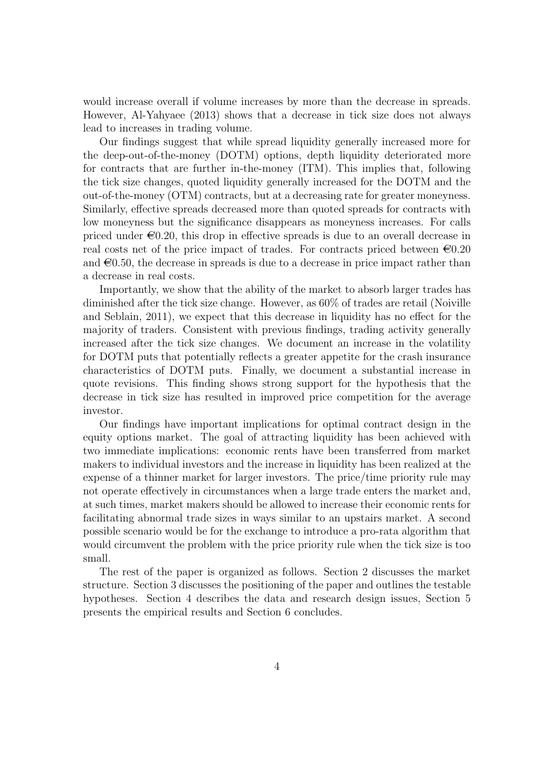would increase overall if volume increases by more than the decrease in spreads. However, Al-Yahyaee (2013) shows that a decrease in tick size does not always lead to increases in trading volume.

Our findings suggest that while spread liquidity generally increased more for the deep-out-of-the-money (DOTM) options, depth liquidity deteriorated more for contracts that are further in-the-money (ITM). This implies that, following the tick size changes, quoted liquidity generally increased for the DOTM and the out-of-the-money (OTM) contracts, but at a decreasing rate for greater moneyness. Similarly, effective spreads decreased more than quoted spreads for contracts with low moneyness but the significance disappears as moneyness increases. For calls priced under  $\epsilon 0.20$ , this drop in effective spreads is due to an overall decrease in real costs net of the price impact of trades. For contracts priced between  $\epsilon 0.20$ and  $\epsilon$ 0.50, the decrease in spreads is due to a decrease in price impact rather than a decrease in real costs.

Importantly, we show that the ability of the market to absorb larger trades has diminished after the tick size change. However, as 60% of trades are retail (Noiville and Seblain, 2011), we expect that this decrease in liquidity has no effect for the majority of traders. Consistent with previous findings, trading activity generally increased after the tick size changes. We document an increase in the volatility for DOTM puts that potentially reflects a greater appetite for the crash insurance characteristics of DOTM puts. Finally, we document a substantial increase in quote revisions. This finding shows strong support for the hypothesis that the decrease in tick size has resulted in improved price competition for the average investor.

Our findings have important implications for optimal contract design in the equity options market. The goal of attracting liquidity has been achieved with two immediate implications: economic rents have been transferred from market makers to individual investors and the increase in liquidity has been realized at the expense of a thinner market for larger investors. The price/time priority rule may not operate effectively in circumstances when a large trade enters the market and, at such times, market makers should be allowed to increase their economic rents for facilitating abnormal trade sizes in ways similar to an upstairs market. A second possible scenario would be for the exchange to introduce a pro-rata algorithm that would circumvent the problem with the price priority rule when the tick size is too small.

The rest of the paper is organized as follows. Section 2 discusses the market structure. Section 3 discusses the positioning of the paper and outlines the testable hypotheses. Section 4 describes the data and research design issues, Section 5 presents the empirical results and Section 6 concludes.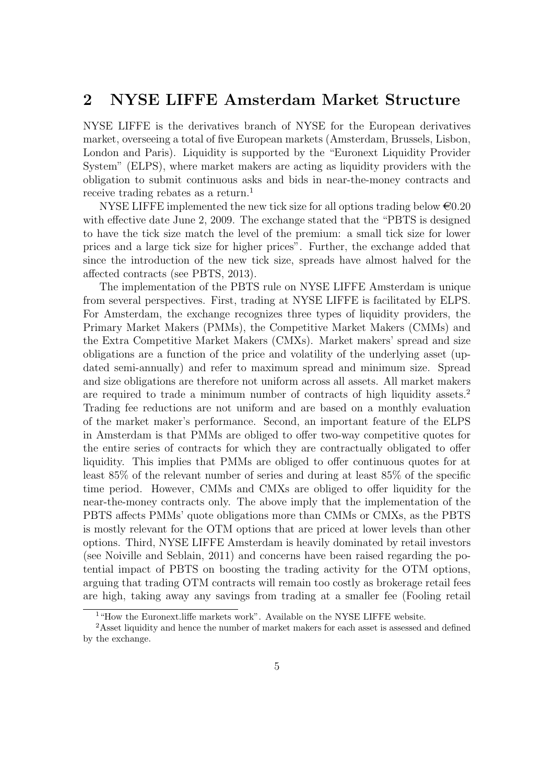## 2 NYSE LIFFE Amsterdam Market Structure

NYSE LIFFE is the derivatives branch of NYSE for the European derivatives market, overseeing a total of five European markets (Amsterdam, Brussels, Lisbon, London and Paris). Liquidity is supported by the "Euronext Liquidity Provider System" (ELPS), where market makers are acting as liquidity providers with the obligation to submit continuous asks and bids in near-the-money contracts and receive trading rebates as a return.<sup>1</sup>

NYSE LIFFE implemented the new tick size for all options trading below  $\epsilon 0.20$ with effective date June 2, 2009. The exchange stated that the "PBTS is designed to have the tick size match the level of the premium: a small tick size for lower prices and a large tick size for higher prices". Further, the exchange added that since the introduction of the new tick size, spreads have almost halved for the affected contracts (see PBTS, 2013).

The implementation of the PBTS rule on NYSE LIFFE Amsterdam is unique from several perspectives. First, trading at NYSE LIFFE is facilitated by ELPS. For Amsterdam, the exchange recognizes three types of liquidity providers, the Primary Market Makers (PMMs), the Competitive Market Makers (CMMs) and the Extra Competitive Market Makers (CMXs). Market makers' spread and size obligations are a function of the price and volatility of the underlying asset (updated semi-annually) and refer to maximum spread and minimum size. Spread and size obligations are therefore not uniform across all assets. All market makers are required to trade a minimum number of contracts of high liquidity assets.<sup>2</sup> Trading fee reductions are not uniform and are based on a monthly evaluation of the market maker's performance. Second, an important feature of the ELPS in Amsterdam is that PMMs are obliged to offer two-way competitive quotes for the entire series of contracts for which they are contractually obligated to offer liquidity. This implies that PMMs are obliged to offer continuous quotes for at least 85% of the relevant number of series and during at least 85% of the specific time period. However, CMMs and CMXs are obliged to offer liquidity for the near-the-money contracts only. The above imply that the implementation of the PBTS affects PMMs' quote obligations more than CMMs or CMXs, as the PBTS is mostly relevant for the OTM options that are priced at lower levels than other options. Third, NYSE LIFFE Amsterdam is heavily dominated by retail investors (see Noiville and Seblain, 2011) and concerns have been raised regarding the potential impact of PBTS on boosting the trading activity for the OTM options, arguing that trading OTM contracts will remain too costly as brokerage retail fees are high, taking away any savings from trading at a smaller fee (Fooling retail

<sup>&</sup>lt;sup>1</sup>"How the Euronext.liffe markets work". Available on the NYSE LIFFE website.

<sup>&</sup>lt;sup>2</sup>Asset liquidity and hence the number of market makers for each asset is assessed and defined by the exchange.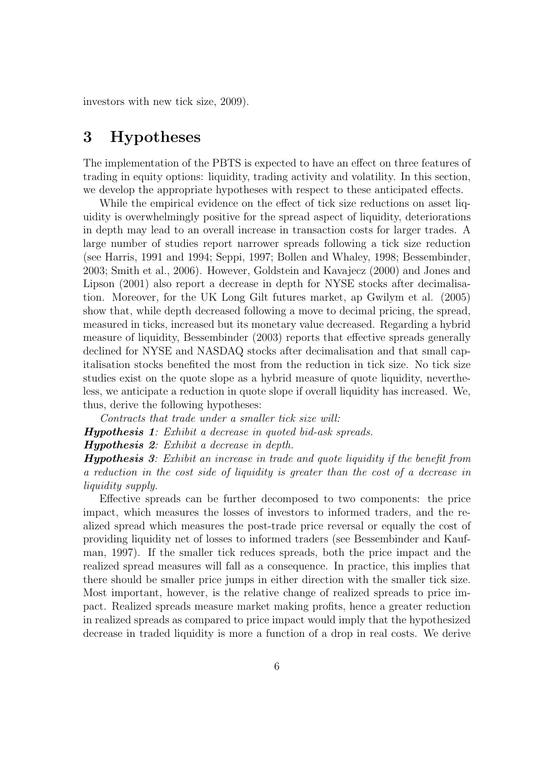investors with new tick size, 2009).

## 3 Hypotheses

The implementation of the PBTS is expected to have an effect on three features of trading in equity options: liquidity, trading activity and volatility. In this section, we develop the appropriate hypotheses with respect to these anticipated effects.

While the empirical evidence on the effect of tick size reductions on asset liquidity is overwhelmingly positive for the spread aspect of liquidity, deteriorations in depth may lead to an overall increase in transaction costs for larger trades. A large number of studies report narrower spreads following a tick size reduction (see Harris, 1991 and 1994; Seppi, 1997; Bollen and Whaley, 1998; Bessembinder, 2003; Smith et al., 2006). However, Goldstein and Kavajecz (2000) and Jones and Lipson (2001) also report a decrease in depth for NYSE stocks after decimalisation. Moreover, for the UK Long Gilt futures market, ap Gwilym et al. (2005) show that, while depth decreased following a move to decimal pricing, the spread, measured in ticks, increased but its monetary value decreased. Regarding a hybrid measure of liquidity, Bessembinder (2003) reports that effective spreads generally declined for NYSE and NASDAQ stocks after decimalisation and that small capitalisation stocks benefited the most from the reduction in tick size. No tick size studies exist on the quote slope as a hybrid measure of quote liquidity, nevertheless, we anticipate a reduction in quote slope if overall liquidity has increased. We, thus, derive the following hypotheses:

Contracts that trade under a smaller tick size will:

Hypothesis 1: Exhibit a decrease in quoted bid-ask spreads.

Hypothesis 2: Exhibit a decrease in depth.

Hypothesis 3: Exhibit an increase in trade and quote liquidity if the benefit from a reduction in the cost side of liquidity is greater than the cost of a decrease in liquidity supply.

Effective spreads can be further decomposed to two components: the price impact, which measures the losses of investors to informed traders, and the realized spread which measures the post-trade price reversal or equally the cost of providing liquidity net of losses to informed traders (see Bessembinder and Kaufman, 1997). If the smaller tick reduces spreads, both the price impact and the realized spread measures will fall as a consequence. In practice, this implies that there should be smaller price jumps in either direction with the smaller tick size. Most important, however, is the relative change of realized spreads to price impact. Realized spreads measure market making profits, hence a greater reduction in realized spreads as compared to price impact would imply that the hypothesized decrease in traded liquidity is more a function of a drop in real costs. We derive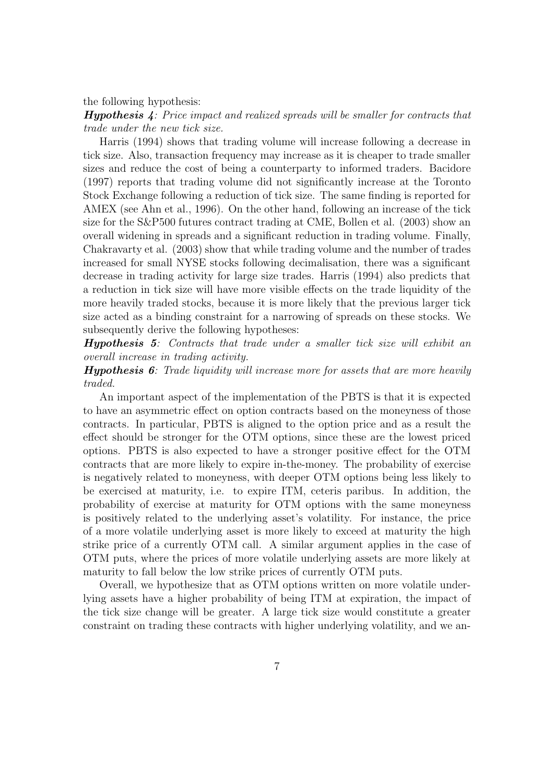the following hypothesis:

Hypothesis 4: Price impact and realized spreads will be smaller for contracts that trade under the new tick size.

Harris (1994) shows that trading volume will increase following a decrease in tick size. Also, transaction frequency may increase as it is cheaper to trade smaller sizes and reduce the cost of being a counterparty to informed traders. Bacidore (1997) reports that trading volume did not significantly increase at the Toronto Stock Exchange following a reduction of tick size. The same finding is reported for AMEX (see Ahn et al., 1996). On the other hand, following an increase of the tick size for the S&P500 futures contract trading at CME, Bollen et al. (2003) show an overall widening in spreads and a significant reduction in trading volume. Finally, Chakravarty et al. (2003) show that while trading volume and the number of trades increased for small NYSE stocks following decimalisation, there was a significant decrease in trading activity for large size trades. Harris (1994) also predicts that a reduction in tick size will have more visible effects on the trade liquidity of the more heavily traded stocks, because it is more likely that the previous larger tick size acted as a binding constraint for a narrowing of spreads on these stocks. We subsequently derive the following hypotheses:

Hypothesis 5: Contracts that trade under a smaller tick size will exhibit an overall increase in trading activity.

**Hypothesis 6**: Trade liquidity will increase more for assets that are more heavily traded.

An important aspect of the implementation of the PBTS is that it is expected to have an asymmetric effect on option contracts based on the moneyness of those contracts. In particular, PBTS is aligned to the option price and as a result the effect should be stronger for the OTM options, since these are the lowest priced options. PBTS is also expected to have a stronger positive effect for the OTM contracts that are more likely to expire in-the-money. The probability of exercise is negatively related to moneyness, with deeper OTM options being less likely to be exercised at maturity, i.e. to expire ITM, ceteris paribus. In addition, the probability of exercise at maturity for OTM options with the same moneyness is positively related to the underlying asset's volatility. For instance, the price of a more volatile underlying asset is more likely to exceed at maturity the high strike price of a currently OTM call. A similar argument applies in the case of OTM puts, where the prices of more volatile underlying assets are more likely at maturity to fall below the low strike prices of currently OTM puts.

Overall, we hypothesize that as OTM options written on more volatile underlying assets have a higher probability of being ITM at expiration, the impact of the tick size change will be greater. A large tick size would constitute a greater constraint on trading these contracts with higher underlying volatility, and we an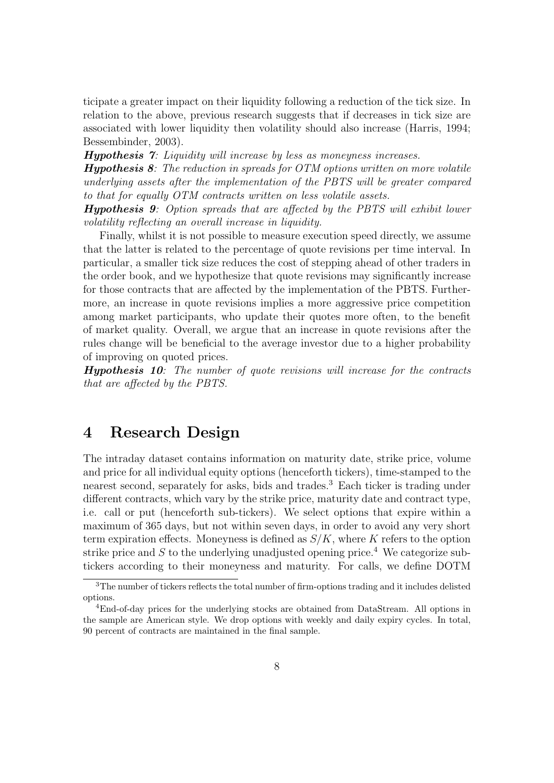ticipate a greater impact on their liquidity following a reduction of the tick size. In relation to the above, previous research suggests that if decreases in tick size are associated with lower liquidity then volatility should also increase (Harris, 1994; Bessembinder, 2003).

Hypothesis 7: Liquidity will increase by less as moneyness increases.

**Hypothesis 8:** The reduction in spreads for  $OTM$  options written on more volatile underlying assets after the implementation of the PBTS will be greater compared to that for equally OTM contracts written on less volatile assets.

Hypothesis 9: Option spreads that are affected by the PBTS will exhibit lower volatility reflecting an overall increase in liquidity.

Finally, whilst it is not possible to measure execution speed directly, we assume that the latter is related to the percentage of quote revisions per time interval. In particular, a smaller tick size reduces the cost of stepping ahead of other traders in the order book, and we hypothesize that quote revisions may significantly increase for those contracts that are affected by the implementation of the PBTS. Furthermore, an increase in quote revisions implies a more aggressive price competition among market participants, who update their quotes more often, to the benefit of market quality. Overall, we argue that an increase in quote revisions after the rules change will be beneficial to the average investor due to a higher probability of improving on quoted prices.

Hypothesis 10: The number of quote revisions will increase for the contracts that are affected by the PBTS.

## 4 Research Design

The intraday dataset contains information on maturity date, strike price, volume and price for all individual equity options (henceforth tickers), time-stamped to the nearest second, separately for asks, bids and trades.<sup>3</sup> Each ticker is trading under different contracts, which vary by the strike price, maturity date and contract type, i.e. call or put (henceforth sub-tickers). We select options that expire within a maximum of 365 days, but not within seven days, in order to avoid any very short term expiration effects. Moneyness is defined as  $S/K$ , where K refers to the option strike price and S to the underlying unadjusted opening price.<sup>4</sup> We categorize subtickers according to their moneyness and maturity. For calls, we define DOTM

<sup>3</sup>The number of tickers reflects the total number of firm-options trading and it includes delisted options.

<sup>4</sup>End-of-day prices for the underlying stocks are obtained from DataStream. All options in the sample are American style. We drop options with weekly and daily expiry cycles. In total, 90 percent of contracts are maintained in the final sample.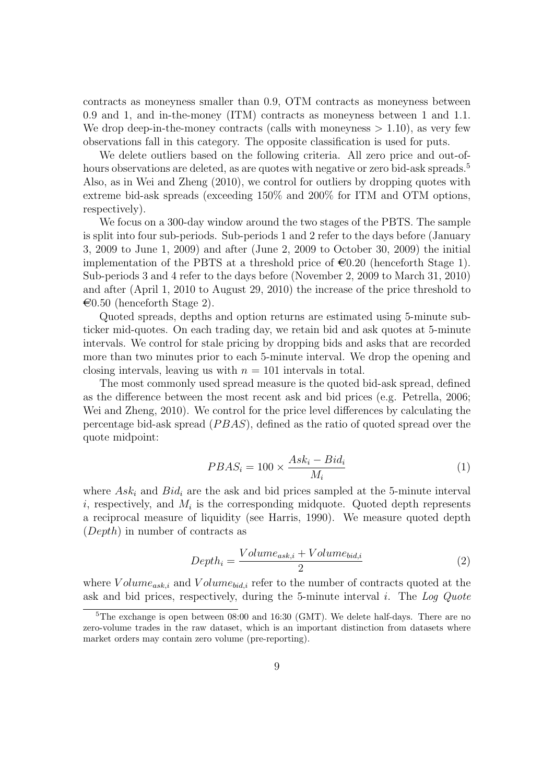contracts as moneyness smaller than 0.9, OTM contracts as moneyness between 0.9 and 1, and in-the-money (ITM) contracts as moneyness between 1 and 1.1. We drop deep-in-the-money contracts (calls with moneyness  $> 1.10$ ), as very few observations fall in this category. The opposite classification is used for puts.

We delete outliers based on the following criteria. All zero price and out-ofhours observations are deleted, as are quotes with negative or zero bid-ask spreads.<sup>5</sup> Also, as in Wei and Zheng (2010), we control for outliers by dropping quotes with extreme bid-ask spreads (exceeding 150% and 200% for ITM and OTM options, respectively).

We focus on a 300-day window around the two stages of the PBTS. The sample is split into four sub-periods. Sub-periods 1 and 2 refer to the days before (January 3, 2009 to June 1, 2009) and after (June 2, 2009 to October 30, 2009) the initial implementation of the PBTS at a threshold price of  $\epsilon 0.20$  (henceforth Stage 1). Sub-periods 3 and 4 refer to the days before (November 2, 2009 to March 31, 2010) and after (April 1, 2010 to August 29, 2010) the increase of the price threshold to  $\epsilon$ 0.50 (henceforth Stage 2).

Quoted spreads, depths and option returns are estimated using 5-minute subticker mid-quotes. On each trading day, we retain bid and ask quotes at 5-minute intervals. We control for stale pricing by dropping bids and asks that are recorded more than two minutes prior to each 5-minute interval. We drop the opening and closing intervals, leaving us with  $n = 101$  intervals in total.

The most commonly used spread measure is the quoted bid-ask spread, defined as the difference between the most recent ask and bid prices (e.g. Petrella, 2006; Wei and Zheng, 2010). We control for the price level differences by calculating the percentage bid-ask spread  $(PBAS)$ , defined as the ratio of quoted spread over the quote midpoint:

$$
PBAS_i = 100 \times \frac{Ask_i - Bid_i}{M_i} \tag{1}
$$

where  $Ask_i$  and  $Bid_i$  are the ask and bid prices sampled at the 5-minute interval *i*, respectively, and  $M_i$  is the corresponding midquote. Quoted depth represents a reciprocal measure of liquidity (see Harris, 1990). We measure quoted depth (Depth) in number of contracts as

$$
Depth_i = \frac{Volume_{ask,i} + Volume_{bid,i}}{2}
$$
\n<sup>(2)</sup>

where  $Volume_{ask,i}$  and  $Volume_{bid,i}$  refer to the number of contracts quoted at the ask and bid prices, respectively, during the 5-minute interval i. The Log Quote

<sup>&</sup>lt;sup>5</sup>The exchange is open between 08:00 and 16:30 (GMT). We delete half-days. There are no zero-volume trades in the raw dataset, which is an important distinction from datasets where market orders may contain zero volume (pre-reporting).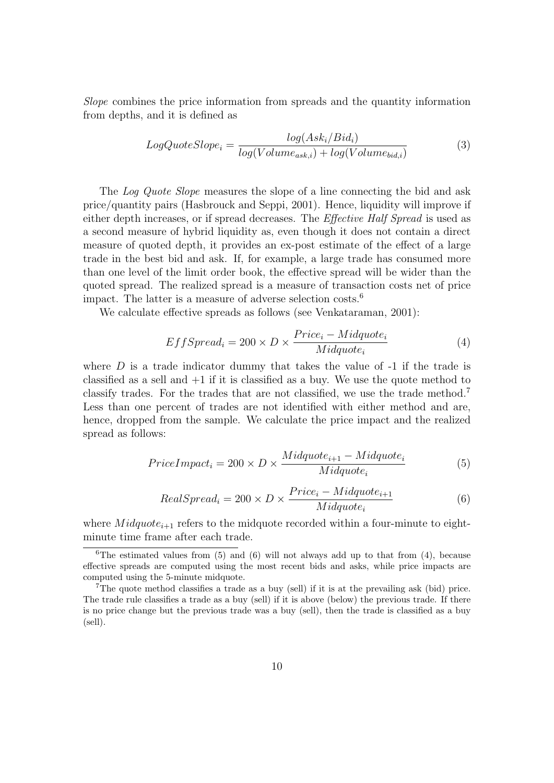Slope combines the price information from spreads and the quantity information from depths, and it is defined as

$$
LogQuoteSlope_{i} = \frac{log(Ask_{i}/Bid_{i})}{log(Volume_{ask,i}) + log(Volume_{bid,i})}
$$
(3)

The Log Quote Slope measures the slope of a line connecting the bid and ask price/quantity pairs (Hasbrouck and Seppi, 2001). Hence, liquidity will improve if either depth increases, or if spread decreases. The Effective Half Spread is used as a second measure of hybrid liquidity as, even though it does not contain a direct measure of quoted depth, it provides an ex-post estimate of the effect of a large trade in the best bid and ask. If, for example, a large trade has consumed more than one level of the limit order book, the effective spread will be wider than the quoted spread. The realized spread is a measure of transaction costs net of price impact. The latter is a measure of adverse selection costs.<sup>6</sup>

We calculate effective spreads as follows (see Venkataraman, 2001):

$$
EffSpread_i = 200 \times D \times \frac{Price_i - Midquote_i}{Midquote_i}
$$
\n
$$
(4)
$$

where  $D$  is a trade indicator dummy that takes the value of  $-1$  if the trade is classified as a sell and  $+1$  if it is classified as a buy. We use the quote method to classify trades. For the trades that are not classified, we use the trade method.<sup>7</sup> Less than one percent of trades are not identified with either method and are, hence, dropped from the sample. We calculate the price impact and the realized spread as follows:

$$
Price Impact_i = 200 \times D \times \frac{Midquote_{i+1} - Midquote_i}{Midquote_i}
$$
\n(5)

$$
Real Spread_i = 200 \times D \times \frac{Price_i - Midquote_{i+1}}{Midquote_i}
$$
\n(6)

where  $Midquote_{i+1}$  refers to the midquote recorded within a four-minute to eightminute time frame after each trade.

<sup>&</sup>lt;sup>6</sup>The estimated values from  $(5)$  and  $(6)$  will not always add up to that from  $(4)$ , because effective spreads are computed using the most recent bids and asks, while price impacts are computed using the 5-minute midquote.

<sup>7</sup>The quote method classifies a trade as a buy (sell) if it is at the prevailing ask (bid) price. The trade rule classifies a trade as a buy (sell) if it is above (below) the previous trade. If there is no price change but the previous trade was a buy (sell), then the trade is classified as a buy (sell).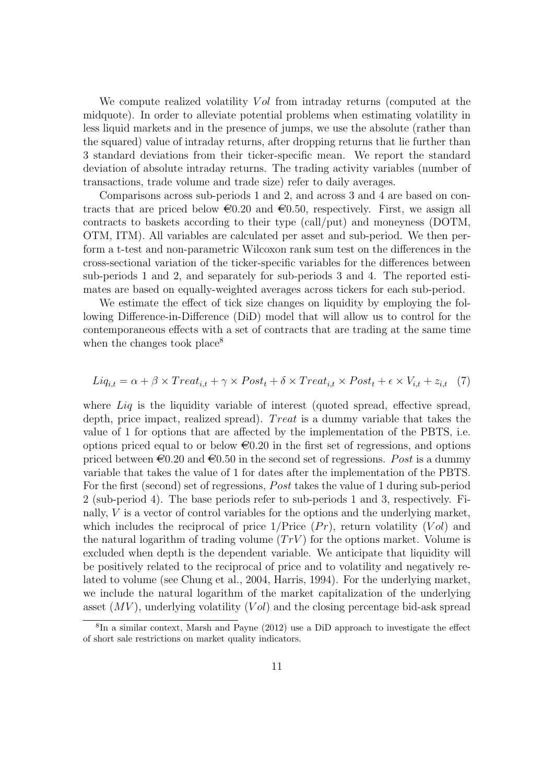We compute realized volatility Vol from intraday returns (computed at the midquote). In order to alleviate potential problems when estimating volatility in less liquid markets and in the presence of jumps, we use the absolute (rather than the squared) value of intraday returns, after dropping returns that lie further than 3 standard deviations from their ticker-specific mean. We report the standard deviation of absolute intraday returns. The trading activity variables (number of transactions, trade volume and trade size) refer to daily averages.

Comparisons across sub-periods 1 and 2, and across 3 and 4 are based on contracts that are priced below  $\epsilon 0.20$  and  $\epsilon 0.50$ , respectively. First, we assign all contracts to baskets according to their type (call/put) and moneyness (DOTM, OTM, ITM). All variables are calculated per asset and sub-period. We then perform a t-test and non-parametric Wilcoxon rank sum test on the differences in the cross-sectional variation of the ticker-specific variables for the differences between sub-periods 1 and 2, and separately for sub-periods 3 and 4. The reported estimates are based on equally-weighted averages across tickers for each sub-period.

We estimate the effect of tick size changes on liquidity by employing the following Difference-in-Difference (DiD) model that will allow us to control for the contemporaneous effects with a set of contracts that are trading at the same time when the changes took place<sup>8</sup>

$$
Liq_{i,t} = \alpha + \beta \times Treat_{i,t} + \gamma \times Post_t + \delta \times Treat_{i,t} \times Post_t + \epsilon \times V_{i,t} + z_{i,t} \quad (7)
$$

where Liq is the liquidity variable of interest (quoted spread, effective spread, depth, price impact, realized spread). Treat is a dummy variable that takes the value of 1 for options that are affected by the implementation of the PBTS, i.e. options priced equal to or below  $\epsilon 0.20$  in the first set of regressions, and options priced between  $\epsilon 0.20$  and  $\epsilon 0.50$  in the second set of regressions. Post is a dummy variable that takes the value of 1 for dates after the implementation of the PBTS. For the first (second) set of regressions, *Post* takes the value of 1 during sub-period 2 (sub-period 4). The base periods refer to sub-periods 1 and 3, respectively. Finally, V is a vector of control variables for the options and the underlying market, which includes the reciprocal of price  $1/\text{Price }(Pr)$ , return volatility  $(Vol)$  and the natural logarithm of trading volume  $(TrV)$  for the options market. Volume is excluded when depth is the dependent variable. We anticipate that liquidity will be positively related to the reciprocal of price and to volatility and negatively related to volume (see Chung et al., 2004, Harris, 1994). For the underlying market, we include the natural logarithm of the market capitalization of the underlying asset  $(MV)$ , underlying volatility  $(Vol)$  and the closing percentage bid-ask spread

<sup>8</sup> In a similar context, Marsh and Payne (2012) use a DiD approach to investigate the effect of short sale restrictions on market quality indicators.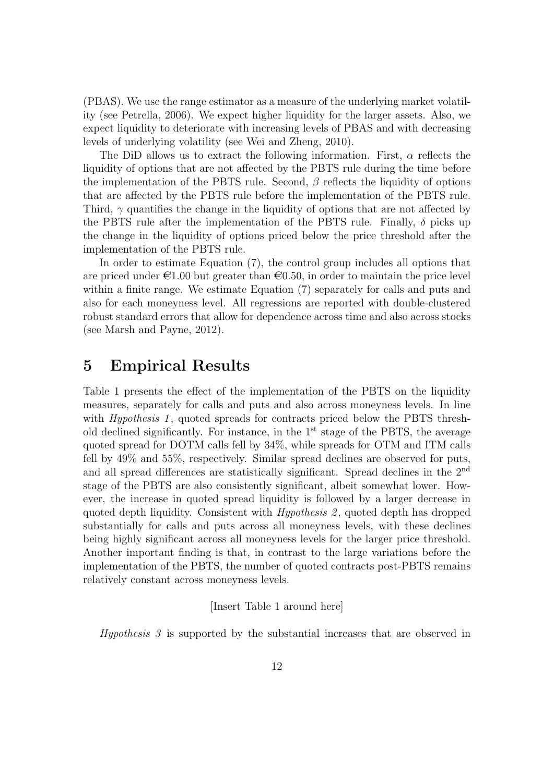(PBAS). We use the range estimator as a measure of the underlying market volatility (see Petrella, 2006). We expect higher liquidity for the larger assets. Also, we expect liquidity to deteriorate with increasing levels of PBAS and with decreasing levels of underlying volatility (see Wei and Zheng, 2010).

The DiD allows us to extract the following information. First,  $\alpha$  reflects the liquidity of options that are not affected by the PBTS rule during the time before the implementation of the PBTS rule. Second,  $\beta$  reflects the liquidity of options that are affected by the PBTS rule before the implementation of the PBTS rule. Third,  $\gamma$  quantifies the change in the liquidity of options that are not affected by the PBTS rule after the implementation of the PBTS rule. Finally,  $\delta$  picks up the change in the liquidity of options priced below the price threshold after the implementation of the PBTS rule.

In order to estimate Equation (7), the control group includes all options that are priced under  $\epsilon 1.00$  but greater than  $\epsilon 0.50$ , in order to maintain the price level within a finite range. We estimate Equation (7) separately for calls and puts and also for each moneyness level. All regressions are reported with double-clustered robust standard errors that allow for dependence across time and also across stocks (see Marsh and Payne, 2012).

## 5 Empirical Results

Table 1 presents the effect of the implementation of the PBTS on the liquidity measures, separately for calls and puts and also across moneyness levels. In line with *Hypothesis 1*, quoted spreads for contracts priced below the PBTS threshold declined significantly. For instance, in the  $1<sup>st</sup>$  stage of the PBTS, the average quoted spread for DOTM calls fell by 34%, while spreads for OTM and ITM calls fell by 49% and 55%, respectively. Similar spread declines are observed for puts, and all spread differences are statistically significant. Spread declines in the 2nd stage of the PBTS are also consistently significant, albeit somewhat lower. However, the increase in quoted spread liquidity is followed by a larger decrease in quoted depth liquidity. Consistent with *Hypothesis* 2, quoted depth has dropped substantially for calls and puts across all moneyness levels, with these declines being highly significant across all moneyness levels for the larger price threshold. Another important finding is that, in contrast to the large variations before the implementation of the PBTS, the number of quoted contracts post-PBTS remains relatively constant across moneyness levels.

[Insert Table 1 around here]

Hypothesis 3 is supported by the substantial increases that are observed in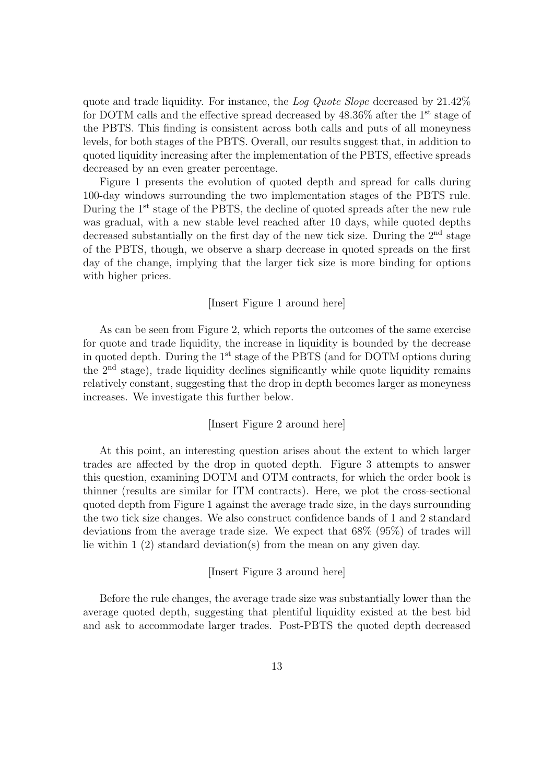quote and trade liquidity. For instance, the Log Quote Slope decreased by 21.42% for DOTM calls and the effective spread decreased by  $48.36\%$  after the 1<sup>st</sup> stage of the PBTS. This finding is consistent across both calls and puts of all moneyness levels, for both stages of the PBTS. Overall, our results suggest that, in addition to quoted liquidity increasing after the implementation of the PBTS, effective spreads decreased by an even greater percentage.

Figure 1 presents the evolution of quoted depth and spread for calls during 100-day windows surrounding the two implementation stages of the PBTS rule. During the 1<sup>st</sup> stage of the PBTS, the decline of quoted spreads after the new rule was gradual, with a new stable level reached after 10 days, while quoted depths decreased substantially on the first day of the new tick size. During the  $2<sup>nd</sup>$  stage of the PBTS, though, we observe a sharp decrease in quoted spreads on the first day of the change, implying that the larger tick size is more binding for options with higher prices.

#### [Insert Figure 1 around here]

As can be seen from Figure 2, which reports the outcomes of the same exercise for quote and trade liquidity, the increase in liquidity is bounded by the decrease in quoted depth. During the  $1<sup>st</sup>$  stage of the PBTS (and for DOTM options during the  $2<sup>nd</sup>$  stage), trade liquidity declines significantly while quote liquidity remains relatively constant, suggesting that the drop in depth becomes larger as moneyness increases. We investigate this further below.

#### [Insert Figure 2 around here]

At this point, an interesting question arises about the extent to which larger trades are affected by the drop in quoted depth. Figure 3 attempts to answer this question, examining DOTM and OTM contracts, for which the order book is thinner (results are similar for ITM contracts). Here, we plot the cross-sectional quoted depth from Figure 1 against the average trade size, in the days surrounding the two tick size changes. We also construct confidence bands of 1 and 2 standard deviations from the average trade size. We expect that 68% (95%) of trades will lie within 1 (2) standard deviation(s) from the mean on any given day.

#### [Insert Figure 3 around here]

Before the rule changes, the average trade size was substantially lower than the average quoted depth, suggesting that plentiful liquidity existed at the best bid and ask to accommodate larger trades. Post-PBTS the quoted depth decreased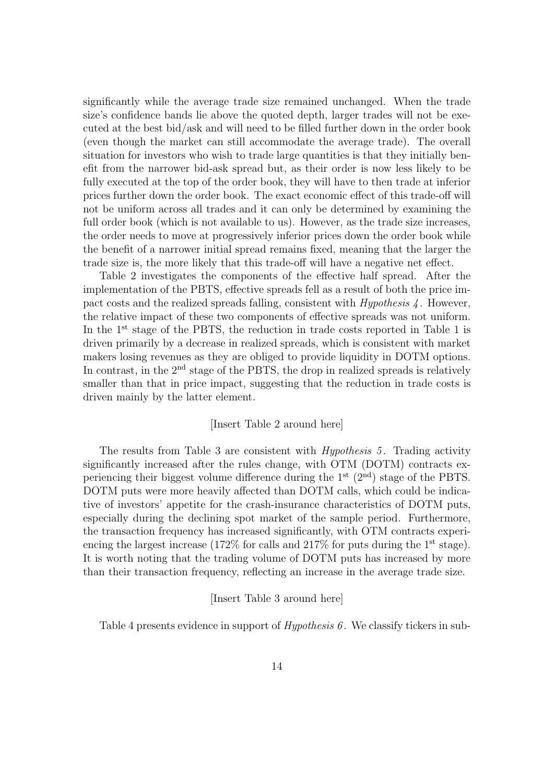significantly while the average trade size remained unchanged. When the trade size's confidence bands lie above the quoted depth, larger trades will not be executed at the best bid/ask and will need to be filled further down in the order book (even though the market can still accommodate the average trade). The overall situation for investors who wish to trade large quantities is that they initially benefit from the narrower bid-ask spread but, as their order is now less likely to be fully executed at the top of the order book, they will have to then trade at inferior prices further down the order book. The exact economic effect of this trade-off will not be uniform across all trades and it can only be determined by examining the full order book (which is not available to us). However, as the trade size increases, the order needs to move at progressively inferior prices down the order book while the benefit of a narrower initial spread remains fixed, meaning that the larger the trade size is, the more likely that this trade-off will have a negative net effect.

Table 2 investigates the components of the effective half spread. After the implementation of the PBTS, effective spreads fell as a result of both the price impact costs and the realized spreads falling, consistent with Hypothesis 4 . However, the relative impact of these two components of effective spreads was not uniform. In the 1<sup>st</sup> stage of the PBTS, the reduction in trade costs reported in Table 1 is driven primarily by a decrease in realized spreads, which is consistent with market makers losing revenues as they are obliged to provide liquidity in DOTM options. In contrast, in the 2<sup>nd</sup> stage of the PBTS, the drop in realized spreads is relatively smaller than that in price impact, suggesting that the reduction in trade costs is driven mainly by the latter element.

#### [Insert Table 2 around here]

The results from Table 3 are consistent with *Hypothesis 5*. Trading activity significantly increased after the rules change, with OTM (DOTM) contracts experiencing their biggest volume difference during the 1st (2nd) stage of the PBTS. DOTM puts were more heavily affected than DOTM calls, which could be indicative of investors' appetite for the crash-insurance characteristics of DOTM puts, especially during the declining spot market of the sample period. Furthermore, the transaction frequency has increased significantly, with OTM contracts experiencing the largest increase  $(172\%$  for calls and  $217\%$  for puts during the 1<sup>st</sup> stage). It is worth noting that the trading volume of DOTM puts has increased by more than their transaction frequency, reflecting an increase in the average trade size.

#### [Insert Table 3 around here]

Table 4 presents evidence in support of  $Hypothesis 6$ . We classify tickers in sub-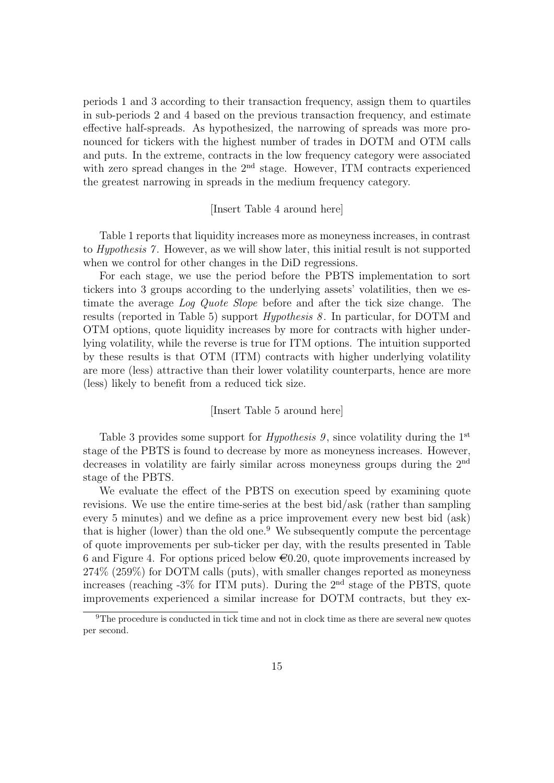periods 1 and 3 according to their transaction frequency, assign them to quartiles in sub-periods 2 and 4 based on the previous transaction frequency, and estimate effective half-spreads. As hypothesized, the narrowing of spreads was more pronounced for tickers with the highest number of trades in DOTM and OTM calls and puts. In the extreme, contracts in the low frequency category were associated with zero spread changes in the  $2<sup>nd</sup>$  stage. However, ITM contracts experienced the greatest narrowing in spreads in the medium frequency category.

#### [Insert Table 4 around here]

Table 1 reports that liquidity increases more as moneyness increases, in contrast to *Hypothesis* 7. However, as we will show later, this initial result is not supported when we control for other changes in the DiD regressions.

For each stage, we use the period before the PBTS implementation to sort tickers into 3 groups according to the underlying assets' volatilities, then we estimate the average Log Quote Slope before and after the tick size change. The results (reported in Table 5) support *Hypothesis 8*. In particular, for DOTM and OTM options, quote liquidity increases by more for contracts with higher underlying volatility, while the reverse is true for ITM options. The intuition supported by these results is that OTM (ITM) contracts with higher underlying volatility are more (less) attractive than their lower volatility counterparts, hence are more (less) likely to benefit from a reduced tick size.

#### [Insert Table 5 around here]

Table 3 provides some support for *Hypothesis 9*, since volatility during the 1<sup>st</sup> stage of the PBTS is found to decrease by more as moneyness increases. However, decreases in volatility are fairly similar across moneyness groups during the 2nd stage of the PBTS.

We evaluate the effect of the PBTS on execution speed by examining quote revisions. We use the entire time-series at the best bid/ask (rather than sampling every 5 minutes) and we define as a price improvement every new best bid (ask) that is higher (lower) than the old one.<sup>9</sup> We subsequently compute the percentage of quote improvements per sub-ticker per day, with the results presented in Table 6 and Figure 4. For options priced below  $\epsilon 0.20$ , quote improvements increased by 274% (259%) for DOTM calls (puts), with smaller changes reported as moneyness increases (reaching  $-3\%$  for ITM puts). During the 2<sup>nd</sup> stage of the PBTS, quote improvements experienced a similar increase for DOTM contracts, but they ex-

<sup>9</sup>The procedure is conducted in tick time and not in clock time as there are several new quotes per second.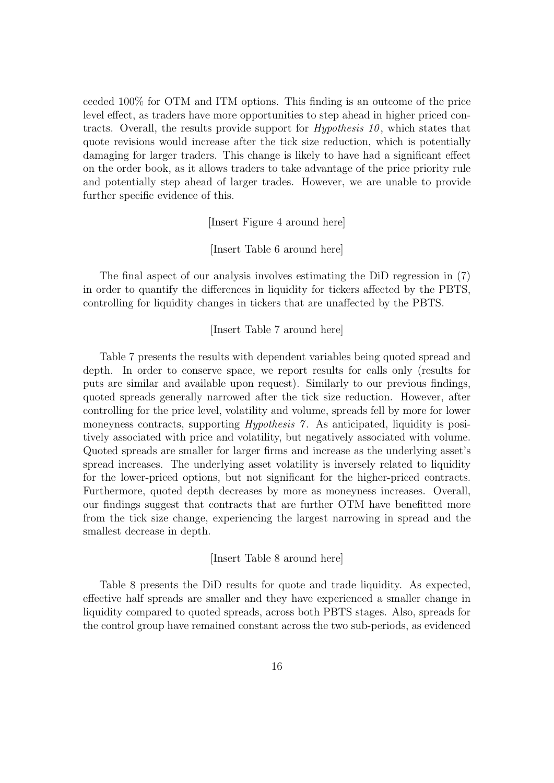ceeded 100% for OTM and ITM options. This finding is an outcome of the price level effect, as traders have more opportunities to step ahead in higher priced contracts. Overall, the results provide support for  $Hypothesis$  10, which states that quote revisions would increase after the tick size reduction, which is potentially damaging for larger traders. This change is likely to have had a significant effect on the order book, as it allows traders to take advantage of the price priority rule and potentially step ahead of larger trades. However, we are unable to provide further specific evidence of this.

[Insert Figure 4 around here]

[Insert Table 6 around here]

The final aspect of our analysis involves estimating the DiD regression in (7) in order to quantify the differences in liquidity for tickers affected by the PBTS, controlling for liquidity changes in tickers that are unaffected by the PBTS.

[Insert Table 7 around here]

Table 7 presents the results with dependent variables being quoted spread and depth. In order to conserve space, we report results for calls only (results for puts are similar and available upon request). Similarly to our previous findings, quoted spreads generally narrowed after the tick size reduction. However, after controlling for the price level, volatility and volume, spreads fell by more for lower moneyness contracts, supporting *Hypothesis 7*. As anticipated, liquidity is positively associated with price and volatility, but negatively associated with volume. Quoted spreads are smaller for larger firms and increase as the underlying asset's spread increases. The underlying asset volatility is inversely related to liquidity for the lower-priced options, but not significant for the higher-priced contracts. Furthermore, quoted depth decreases by more as moneyness increases. Overall, our findings suggest that contracts that are further OTM have benefitted more from the tick size change, experiencing the largest narrowing in spread and the smallest decrease in depth.

[Insert Table 8 around here]

Table 8 presents the DiD results for quote and trade liquidity. As expected, effective half spreads are smaller and they have experienced a smaller change in liquidity compared to quoted spreads, across both PBTS stages. Also, spreads for the control group have remained constant across the two sub-periods, as evidenced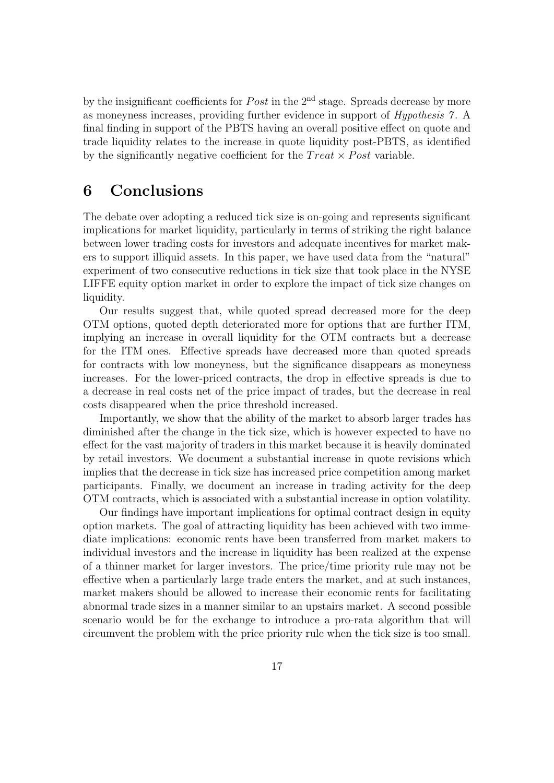by the insignificant coefficients for  $Post$  in the  $2<sup>nd</sup>$  stage. Spreads decrease by more as moneyness increases, providing further evidence in support of Hypothesis 7 . A final finding in support of the PBTS having an overall positive effect on quote and trade liquidity relates to the increase in quote liquidity post-PBTS, as identified by the significantly negative coefficient for the  $Treat \times Post$  variable.

## 6 Conclusions

The debate over adopting a reduced tick size is on-going and represents significant implications for market liquidity, particularly in terms of striking the right balance between lower trading costs for investors and adequate incentives for market makers to support illiquid assets. In this paper, we have used data from the "natural" experiment of two consecutive reductions in tick size that took place in the NYSE LIFFE equity option market in order to explore the impact of tick size changes on liquidity.

Our results suggest that, while quoted spread decreased more for the deep OTM options, quoted depth deteriorated more for options that are further ITM, implying an increase in overall liquidity for the OTM contracts but a decrease for the ITM ones. Effective spreads have decreased more than quoted spreads for contracts with low moneyness, but the significance disappears as moneyness increases. For the lower-priced contracts, the drop in effective spreads is due to a decrease in real costs net of the price impact of trades, but the decrease in real costs disappeared when the price threshold increased.

Importantly, we show that the ability of the market to absorb larger trades has diminished after the change in the tick size, which is however expected to have no effect for the vast majority of traders in this market because it is heavily dominated by retail investors. We document a substantial increase in quote revisions which implies that the decrease in tick size has increased price competition among market participants. Finally, we document an increase in trading activity for the deep OTM contracts, which is associated with a substantial increase in option volatility.

Our findings have important implications for optimal contract design in equity option markets. The goal of attracting liquidity has been achieved with two immediate implications: economic rents have been transferred from market makers to individual investors and the increase in liquidity has been realized at the expense of a thinner market for larger investors. The price/time priority rule may not be effective when a particularly large trade enters the market, and at such instances, market makers should be allowed to increase their economic rents for facilitating abnormal trade sizes in a manner similar to an upstairs market. A second possible scenario would be for the exchange to introduce a pro-rata algorithm that will circumvent the problem with the price priority rule when the tick size is too small.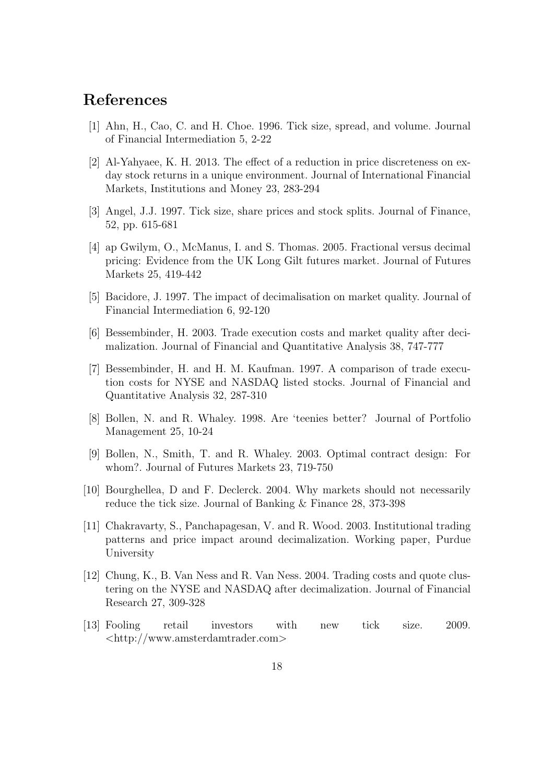## References

- [1] Ahn, H., Cao, C. and H. Choe. 1996. Tick size, spread, and volume. Journal of Financial Intermediation 5, 2-22
- [2] Al-Yahyaee, K. H. 2013. The effect of a reduction in price discreteness on exday stock returns in a unique environment. Journal of International Financial Markets, Institutions and Money 23, 283-294
- [3] Angel, J.J. 1997. Tick size, share prices and stock splits. Journal of Finance, 52, pp. 615-681
- [4] ap Gwilym, O., McManus, I. and S. Thomas. 2005. Fractional versus decimal pricing: Evidence from the UK Long Gilt futures market. Journal of Futures Markets 25, 419-442
- [5] Bacidore, J. 1997. The impact of decimalisation on market quality. Journal of Financial Intermediation 6, 92-120
- [6] Bessembinder, H. 2003. Trade execution costs and market quality after decimalization. Journal of Financial and Quantitative Analysis 38, 747-777
- [7] Bessembinder, H. and H. M. Kaufman. 1997. A comparison of trade execution costs for NYSE and NASDAQ listed stocks. Journal of Financial and Quantitative Analysis 32, 287-310
- [8] Bollen, N. and R. Whaley. 1998. Are 'teenies better? Journal of Portfolio Management 25, 10-24
- [9] Bollen, N., Smith, T. and R. Whaley. 2003. Optimal contract design: For whom?. Journal of Futures Markets 23, 719-750
- [10] Bourghellea, D and F. Declerck. 2004. Why markets should not necessarily reduce the tick size. Journal of Banking & Finance 28, 373-398
- [11] Chakravarty, S., Panchapagesan, V. and R. Wood. 2003. Institutional trading patterns and price impact around decimalization. Working paper, Purdue University
- [12] Chung, K., B. Van Ness and R. Van Ness. 2004. Trading costs and quote clustering on the NYSE and NASDAQ after decimalization. Journal of Financial Research 27, 309-328
- [13] Fooling retail investors with new tick size. 2009. <http://www.amsterdamtrader.com>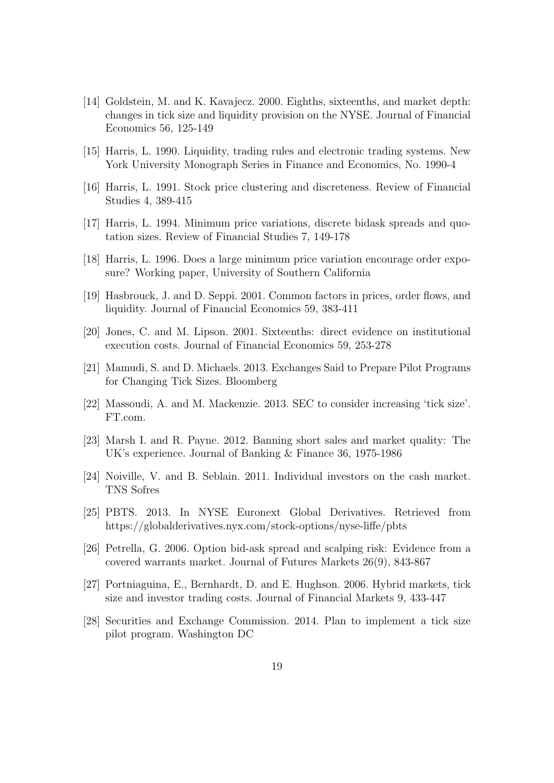- [14] Goldstein, M. and K. Kavajecz. 2000. Eighths, sixteenths, and market depth: changes in tick size and liquidity provision on the NYSE. Journal of Financial Economics 56, 125-149
- [15] Harris, L. 1990. Liquidity, trading rules and electronic trading systems. New York University Monograph Series in Finance and Economics, No. 1990-4
- [16] Harris, L. 1991. Stock price clustering and discreteness. Review of Financial Studies 4, 389-415
- [17] Harris, L. 1994. Minimum price variations, discrete bidask spreads and quotation sizes. Review of Financial Studies 7, 149-178
- [18] Harris, L. 1996. Does a large minimum price variation encourage order exposure? Working paper, University of Southern California
- [19] Hasbrouck, J. and D. Seppi. 2001. Common factors in prices, order flows, and liquidity. Journal of Financial Economics 59, 383-411
- [20] Jones, C. and M. Lipson. 2001. Sixteenths: direct evidence on institutional execution costs. Journal of Financial Economics 59, 253-278
- [21] Mamudi, S. and D. Michaels. 2013. Exchanges Said to Prepare Pilot Programs for Changing Tick Sizes. Bloomberg
- [22] Massoudi, A. and M. Mackenzie. 2013. SEC to consider increasing 'tick size'. FT.com.
- [23] Marsh I. and R. Payne. 2012. Banning short sales and market quality: The UK's experience. Journal of Banking & Finance 36, 1975-1986
- [24] Noiville, V. and B. Seblain. 2011. Individual investors on the cash market. TNS Sofres
- [25] PBTS. 2013. In NYSE Euronext Global Derivatives. Retrieved from https://globalderivatives.nyx.com/stock-options/nyse-liffe/pbts
- [26] Petrella, G. 2006. Option bid-ask spread and scalping risk: Evidence from a covered warrants market. Journal of Futures Markets 26(9), 843-867
- [27] Portniaguina, E., Bernhardt, D. and E. Hughson. 2006. Hybrid markets, tick size and investor trading costs. Journal of Financial Markets 9, 433-447
- [28] Securities and Exchange Commission. 2014. Plan to implement a tick size pilot program. Washington DC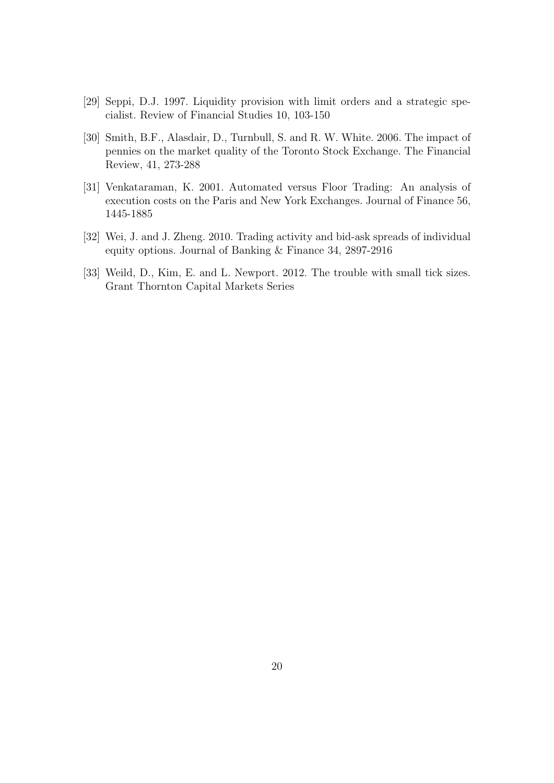- [29] Seppi, D.J. 1997. Liquidity provision with limit orders and a strategic specialist. Review of Financial Studies 10, 103-150
- [30] Smith, B.F., Alasdair, D., Turnbull, S. and R. W. White. 2006. The impact of pennies on the market quality of the Toronto Stock Exchange. The Financial Review, 41, 273-288
- [31] Venkataraman, K. 2001. Automated versus Floor Trading: An analysis of execution costs on the Paris and New York Exchanges. Journal of Finance 56, 1445-1885
- [32] Wei, J. and J. Zheng. 2010. Trading activity and bid-ask spreads of individual equity options. Journal of Banking & Finance 34, 2897-2916
- [33] Weild, D., Kim, E. and L. Newport. 2012. The trouble with small tick sizes. Grant Thornton Capital Markets Series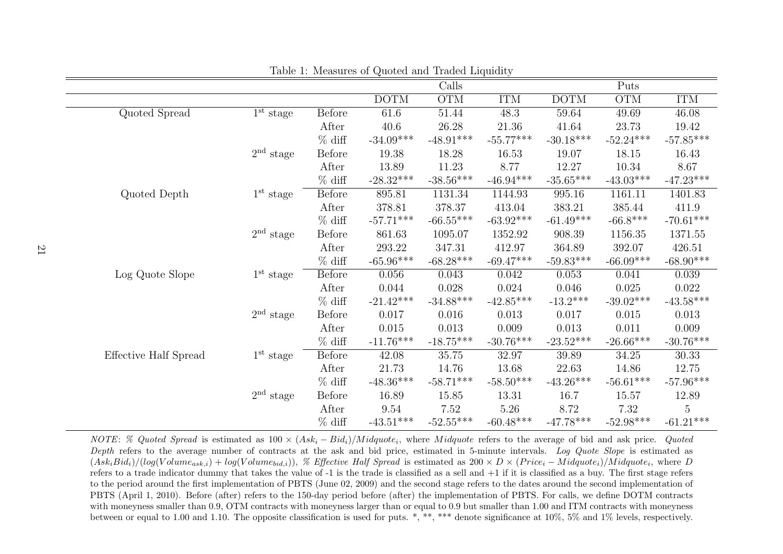|                       |             |               |                   | Calls                   |                         |             | Puts                    |             |
|-----------------------|-------------|---------------|-------------------|-------------------------|-------------------------|-------------|-------------------------|-------------|
|                       |             |               | $\overline{DOTM}$ | $\overline{\text{OTM}}$ | <b>ITM</b>              | <b>DOTM</b> | $\overline{\text{OTM}}$ | <b>ITM</b>  |
| Quoted Spread         | $1st$ stage | <b>Before</b> | 61.6              | 51.44                   | 48.3                    | 59.64       | 49.69                   | 46.08       |
|                       |             | After         | 40.6              | 26.28                   | 21.36                   | 41.64       | 23.73                   | 19.42       |
|                       |             | $%$ diff      | $-34.09***$       | $-48.91^{\ast\ast\ast}$ | $-55.77***$             | $-30.18***$ | $-52.24***$             | $-57.85***$ |
|                       | $2nd$ stage | <b>Before</b> | 19.38             | 18.28                   | 16.53                   | 19.07       | 18.15                   | 16.43       |
|                       |             | After         | 13.89             | 11.23                   | 8.77                    | 12.27       | 10.34                   | 8.67        |
|                       |             | $%$ diff      | $-28.32***$       | $-38.56***$             | $-46.94***$             | $-35.65***$ | $-43.03***$             | $-47.23***$ |
| Quoted Depth          | $1st$ stage | <b>Before</b> | 895.81            | 1131.34                 | 1144.93                 | 995.16      | 1161.11                 | 1401.83     |
|                       |             | After         | 378.81            | 378.37                  | 413.04                  | 383.21      | 385.44                  | 411.9       |
|                       |             | $%$ diff      | $-57.71***$       | $-66.55***$             | $-63.92***$             | $-61.49***$ | $-66.8***$              | $-70.61***$ |
|                       | $2nd$ stage | <b>Before</b> | 861.63            | 1095.07                 | 1352.92                 | 908.39      | 1156.35                 | 1371.55     |
|                       |             | After         | 293.22            | 347.31                  | 412.97                  | 364.89      | 392.07                  | 426.51      |
|                       |             | $%$ diff      | $-65.96***$       | $-68.28***$             | $-69.47***$             | $-59.83***$ | $-66.09***$             | $-68.90***$ |
| Log Quote Slope       | $1st$ stage | <b>Before</b> | 0.056             | 0.043                   | 0.042                   | 0.053       | 0.041                   | 0.039       |
|                       |             | After         | 0.044             | 0.028                   | 0.024                   | 0.046       | 0.025                   | 0.022       |
|                       |             | $%$ diff      | $-21.42***$       | $-34.88***$             | $-42.85***$             | $-13.2***$  | $-39.02***$             | $-43.58***$ |
|                       | $2nd$ stage | <b>Before</b> | 0.017             | 0.016                   | 0.013                   | 0.017       | 0.015                   | 0.013       |
|                       |             | After         | 0.015             | 0.013                   | 0.009                   | 0.013       | 0.011                   | 0.009       |
|                       |             | $%$ diff      | $-11.76***$       | $-18.75***$             | $-30.76^{\ast\ast\ast}$ | $-23.52***$ | $-26.66***$             | $-30.76***$ |
| Effective Half Spread | $1st$ stage | <b>Before</b> | 42.08             | 35.75                   | 32.97                   | 39.89       | 34.25                   | 30.33       |
|                       |             | After         | 21.73             | 14.76                   | 13.68                   | 22.63       | 14.86                   | 12.75       |
|                       |             | $%$ diff      | $-48.36***$       | $-58.71***$             | $-58.50***$             | $-43.26***$ | $-56.61***$             | $-57.96***$ |
|                       | $2nd$ stage | <b>Before</b> | 16.89             | 15.85                   | 13.31                   | 16.7        | 15.57                   | 12.89       |
|                       |             | After         | $\ \, 9.54$       | 7.52                    | 5.26                    | 8.72        | 7.32                    | 5           |
|                       |             | $%$ diff      | $-43.51***$       | $-52.55***$             | $-60.48***$             | $-47.78***$ | $-52.98***$             | $-61.21***$ |

Table 1: Measures of Quoted and Traded Liquidity

NOTE: % Quoted Spread is estimated as  $100 \times (Ask_i-Bid_i)/Midquote_i$ , where Midquote refers to the average of bid and ask price. Quoted Depth refers to the average number of contracts at the ask and bid price, estimated in 5-minute intervals. Log Quote Slope is estimated as  $(Ask_iBid_i)/(log(Volume_{ask,i}) + log(Volume_{bid,i}))$ , % Effective Half Spread is estimated as  $200 \times D \times (Price_i - Midquote_i) / Midquote_i$ , where D refers to a trade indicator dummy that takes the value of -1 is the trade is classified as a sell and +1 if it is classified as a buy. The first stage refers to the period around the first implementation of PBTS (June 02, 2009) and the second stage refers to the dates around the second implementation of PBTS (April 1, 2010). Before (after) refers to the 150-day period before (after) the implementation of PBTS. For calls, we define DOTM contracts with moneyness smaller than 0.9, OTM contracts with moneyness larger than or equal to 0.9 but smaller than 1.00 and ITM contracts with moneyness between or equal to 1.00 and 1.10. The opposite classification is used for puts. \*, \*\*, \*\*\* denote significance at 10%, 5% and 1% levels, respectively.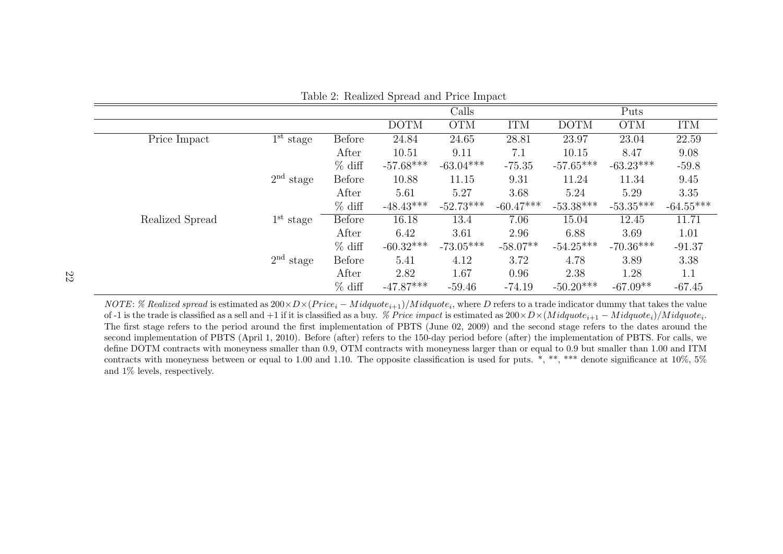|                 |             |               | $-$ 0.000 $-$ 0.000 $-$ 0.000 $-$ 0.000 $-$ 0.000 $-$ 0.000 $-$ |             |             |             |             |             |
|-----------------|-------------|---------------|-----------------------------------------------------------------|-------------|-------------|-------------|-------------|-------------|
|                 |             |               |                                                                 | Calls       |             |             | Puts        |             |
|                 |             |               | <b>DOTM</b>                                                     | <b>OTM</b>  | <b>ITM</b>  | <b>DOTM</b> | <b>OTM</b>  | <b>ITM</b>  |
| Price Impact    | $1st$ stage | <b>Before</b> | 24.84                                                           | 24.65       | 28.81       | 23.97       | 23.04       | 22.59       |
|                 |             | After         | 10.51                                                           | 9.11        | 7.1         | 10.15       | 8.47        | 9.08        |
|                 |             | $%$ diff      | $-57.68***$                                                     | $-63.04***$ | $-75.35$    | $-57.65***$ | $-63.23***$ | $-59.8$     |
|                 | $2nd$ stage | <b>Before</b> | 10.88                                                           | 11.15       | 9.31        | 11.24       | 11.34       | 9.45        |
|                 |             | After         | 5.61                                                            | 5.27        | 3.68        | 5.24        | 5.29        | 3.35        |
|                 |             | $%$ diff      | $-48.43***$                                                     | $-52.73***$ | $-60.47***$ | $-53.38***$ | $-53.35***$ | $-64.55***$ |
| Realized Spread | $1st$ stage | <b>Before</b> | 16.18                                                           | 13.4        | 7.06        | 15.04       | 12.45       | 11.71       |
|                 |             | After         | 6.42                                                            | 3.61        | 2.96        | 6.88        | 3.69        | 1.01        |
|                 |             | $%$ diff      | $-60.32***$                                                     | $-73.05***$ | $-58.07**$  | $-54.25***$ | $-70.36***$ | $-91.37$    |
|                 | $2nd$ stage | <b>Before</b> | 5.41                                                            | 4.12        | 3.72        | 4.78        | 3.89        | 3.38        |
|                 |             | After         | 2.82                                                            | 1.67        | 0.96        | 2.38        | 1.28        | 1.1         |
|                 |             | $%$ diff      | $-47.87***$                                                     | $-59.46$    | $-74.19$    | $-50.20***$ | $-67.09**$  | $-67.45$    |

Table 2: Realized Spread and Price Impact

NOTE: % Realized spread is estimated as  $200 \times D \times (Price_i - Midquote_{i+1})/Midquote_i$ , where D refers to a trade indicator dummy that takes the value of -1 is the trade is classified as a sell and +1 if it is classified as a buy. *% Price impact* is estimated as  $200 \times D \times (Midquote_{i+1} - Midquote_i)/Midquote_i$ . The first stage refers to the period around the first implementation of PBTS (June 02, 2009) and the second stage refers to the dates around the second implementation of PBTS (April 1, 2010). Before (after) refers to the 150-day period before (after) the implementation of PBTS. For calls, we define DOTM contracts with moneyness smaller than 0.9, OTM contracts with moneyness larger than or equal to 0.9 but smaller than 1.00 and ITM contracts with moneyness between or equal to 1.00 and 1.10. The opposite classification is used for puts.  $*, **$ , \*\*\* denote significance at 10%, 5% and 1% levels, respectively.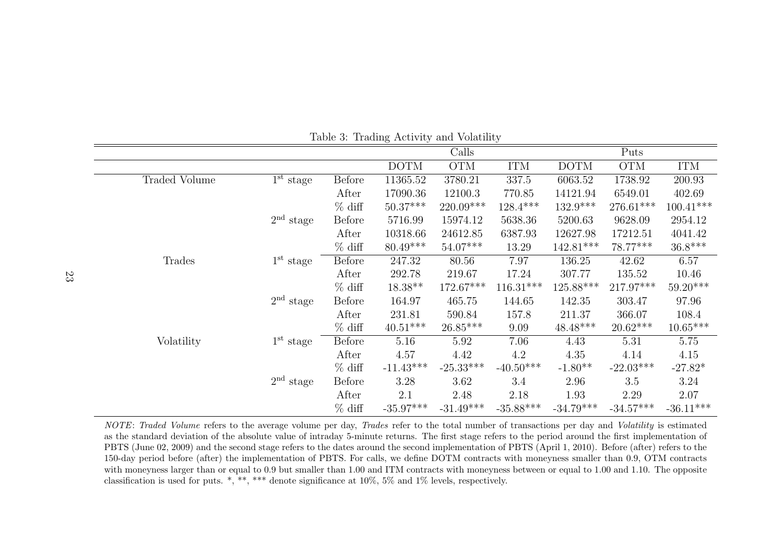|               |                                  |               | $\circ$     |             | $\cdot$     |             |             |             |
|---------------|----------------------------------|---------------|-------------|-------------|-------------|-------------|-------------|-------------|
|               |                                  |               |             | Calls       |             |             | Puts        |             |
|               |                                  |               | <b>DOTM</b> | <b>OTM</b>  | <b>ITM</b>  | <b>DOTM</b> | <b>OTM</b>  | <b>ITM</b>  |
| Traded Volume | $\overline{1}^{\text{st}}$ stage | <b>Before</b> | 11365.52    | 3780.21     | 337.5       | 6063.52     | 1738.92     | 200.93      |
|               |                                  | After         | 17090.36    | 12100.3     | 770.85      | 14121.94    | 6549.01     | 402.69      |
|               |                                  | $%$ diff      | $50.37***$  | 220.09***   | $128.4***$  | $132.9***$  | 276.61***   | $100.41***$ |
|               | $2nd$ stage                      | <b>Before</b> | 5716.99     | 15974.12    | 5638.36     | 5200.63     | 9628.09     | 2954.12     |
|               |                                  | After         | 10318.66    | 24612.85    | 6387.93     | 12627.98    | 17212.51    | 4041.42     |
|               |                                  | $%$ diff      | $80.49***$  | $54.07***$  | 13.29       | $142.81***$ | 78.77***    | $36.8***$   |
| Trades        | $1st$ stage                      | <b>Before</b> | 247.32      | 80.56       | 7.97        | 136.25      | 42.62       | 6.57        |
|               |                                  | After         | 292.78      | 219.67      | 17.24       | 307.77      | 135.52      | 10.46       |
|               |                                  | $%$ diff      | $18.38**$   | 172.67***   | $116.31***$ | $125.88***$ | 217.97***   | $59.20***$  |
|               | $2nd$ stage                      | <b>Before</b> | 164.97      | 465.75      | 144.65      | 142.35      | 303.47      | 97.96       |
|               |                                  | After         | 231.81      | 590.84      | 157.8       | 211.37      | 366.07      | 108.4       |
|               |                                  | $%$ diff      | $40.51***$  | $26.85***$  | 9.09        | $48.48***$  | $20.62***$  | $10.65***$  |
| Volatility    | $1st$ stage                      | <b>Before</b> | 5.16        | 5.92        | 7.06        | 4.43        | 5.31        | 5.75        |
|               |                                  | After         | 4.57        | 4.42        | 4.2         | 4.35        | 4.14        | 4.15        |
|               |                                  | $%$ diff      | $-11.43***$ | $-25.33***$ | $-40.50***$ | $-1.80**$   | $-22.03***$ | $-27.82*$   |
|               | $2nd$ stage                      | <b>Before</b> | 3.28        | 3.62        | 3.4         | 2.96        | $3.5\,$     | 3.24        |
|               |                                  | After         | 2.1         | 2.48        | 2.18        | 1.93        | 2.29        | 2.07        |
|               |                                  | $%$ diff      | $-35.97***$ | $-31.49***$ | $-35.88***$ | $-34.79***$ | $-34.57***$ | $-36.11***$ |

Table 3: Trading Activity and Volatility

NOTE: Traded Volume refers to the average volume per day, Trades refer to the total number of transactions per day and Volatility is estimated as the standard deviation of the absolute value of intraday 5-minute returns. The first stage refers to the period around the first implementation of PBTS (June 02, 2009) and the second stage refers to the dates around the second implementation of PBTS (April 1, 2010). Before (after) refers to the 150-day period before (after) the implementation of PBTS. For calls, we define DOTM contracts with moneyness smaller than 0.9, OTM contracts with moneyness larger than or equal to 0.9 but smaller than 1.00 and ITM contracts with moneyness between or equal to 1.00 and 1.10. The opposite classification is used for puts. \*, \*\*, \*\*\* denote significance at 10%, 5% and 1% levels, respectively.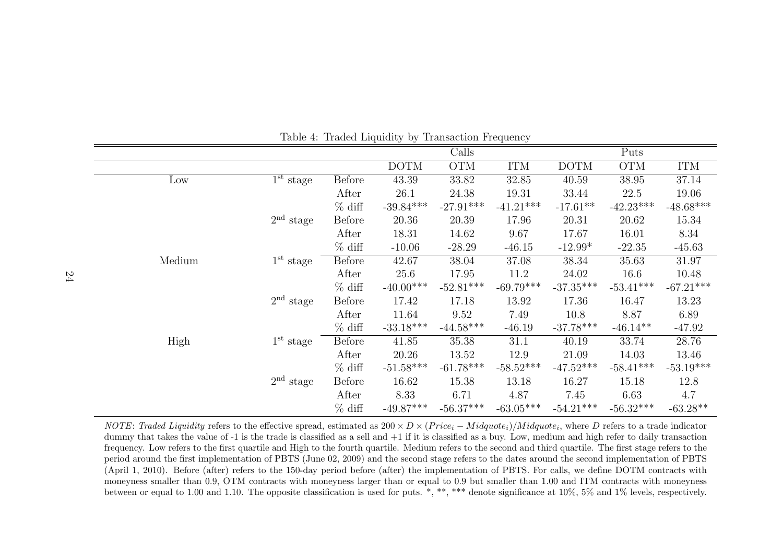|        |                                  |               | Table 1. Traded Engulary by Trailbaction Frequency |             |             |             |             |             |
|--------|----------------------------------|---------------|----------------------------------------------------|-------------|-------------|-------------|-------------|-------------|
|        |                                  |               |                                                    | Calls       |             |             | Puts        |             |
|        |                                  |               | <b>DOTM</b>                                        | <b>OTM</b>  | <b>ITM</b>  | <b>DOTM</b> | <b>OTM</b>  | <b>ITM</b>  |
| Low    | $\overline{1}^{\text{st}}$ stage | <b>Before</b> | 43.39                                              | 33.82       | 32.85       | 40.59       | 38.95       | 37.14       |
|        |                                  | After         | 26.1                                               | 24.38       | 19.31       | 33.44       | 22.5        | 19.06       |
|        |                                  | $%$ diff      | $-39.84***$                                        | $-27.91***$ | $-41.21***$ | $-17.61**$  | $-42.23***$ | $-48.68***$ |
|        | $2nd$ stage                      | <b>Before</b> | 20.36                                              | 20.39       | 17.96       | 20.31       | 20.62       | 15.34       |
|        |                                  | After         | 18.31                                              | 14.62       | 9.67        | 17.67       | 16.01       | 8.34        |
|        |                                  | $%$ diff      | $-10.06$                                           | $-28.29$    | $-46.15$    | $-12.99*$   | $-22.35$    | $-45.63$    |
| Medium | $1st$ stage                      | <b>Before</b> | 42.67                                              | 38.04       | 37.08       | 38.34       | 35.63       | 31.97       |
|        |                                  | After         | 25.6                                               | 17.95       | 11.2        | 24.02       | 16.6        | 10.48       |
|        |                                  | $%$ diff      | $-40.00***$                                        | $-52.81***$ | $-69.79***$ | $-37.35***$ | $-53.41***$ | $-67.21***$ |
|        | $2nd$ stage                      | <b>Before</b> | 17.42                                              | 17.18       | 13.92       | 17.36       | 16.47       | 13.23       |
|        |                                  | After         | 11.64                                              | 9.52        | 7.49        | 10.8        | 8.87        | 6.89        |
|        |                                  | $%$ diff      | $-33.18***$                                        | $-44.58***$ | $-46.19$    | $-37.78***$ | $-46.14**$  | $-47.92$    |
| High   | $1st$ stage                      | <b>Before</b> | 41.85                                              | 35.38       | 31.1        | 40.19       | 33.74       | 28.76       |
|        |                                  | After         | 20.26                                              | 13.52       | 12.9        | 21.09       | 14.03       | 13.46       |
|        |                                  | $%$ diff      | $-51.58***$                                        | $-61.78***$ | $-58.52***$ | $-47.52***$ | $-58.41***$ | $-53.19***$ |
|        | $2nd$ stage                      | <b>Before</b> | 16.62                                              | 15.38       | 13.18       | 16.27       | 15.18       | 12.8        |
|        |                                  | After         | 8.33                                               | 6.71        | 4.87        | 7.45        | 6.63        | 4.7         |
|        |                                  | $%$ diff      | $-49.87***$                                        | $-56.37***$ | $-63.05***$ | $-54.21***$ | $-56.32***$ | $-63.28**$  |

Table 4: Traded Liquidity by Transaction Frequency

NOTE: Traded Liquidity refers to the effective spread, estimated as  $200 \times D \times (Price_i - Midquote_i) / Midquote_i$ , where D refers to a trade indicator dummy that takes the value of -1 is the trade is classified as a sell and +1 if it is classified as a buy. Low, medium and high refer to daily transaction frequency. Low refers to the first quartile and High to the fourth quartile. Medium refers to the second and third quartile. The first stage refers to the period around the first implementation of PBTS (June 02, 2009) and the second stage refers to the dates around the second implementation of PBTS (April 1, 2010). Before (after) refers to the 150-day period before (after) the implementation of PBTS. For calls, we define DOTM contracts with moneyness smaller than 0.9, OTM contracts with moneyness larger than or equal to 0.9 but smaller than 1.00 and ITM contracts with moneyness between or equal to 1.00 and 1.10. The opposite classification is used for puts. \*, \*\*, \*\*\* denote significance at 10%, 5% and 1% levels, respectively.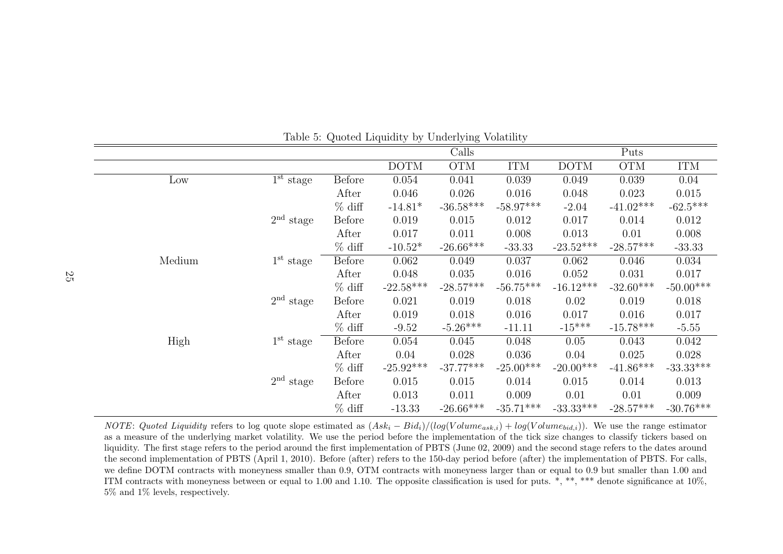|        |             |               | Table 0. Saoted Engulary by Underlying Volutilly |             |             |             |             |             |
|--------|-------------|---------------|--------------------------------------------------|-------------|-------------|-------------|-------------|-------------|
|        |             |               |                                                  | Calls       |             |             | Puts        |             |
|        |             |               | <b>DOTM</b>                                      | <b>OTM</b>  | <b>ITM</b>  | <b>DOTM</b> | <b>OTM</b>  | <b>ITM</b>  |
| Low    | $1st$ stage | <b>Before</b> | 0.054                                            | 0.041       | 0.039       | 0.049       | 0.039       | 0.04        |
|        |             | After         | 0.046                                            | 0.026       | 0.016       | 0.048       | 0.023       | 0.015       |
|        |             | $%$ diff      | $-14.81*$                                        | $-36.58***$ | $-58.97***$ | $-2.04$     | $-41.02***$ | $-62.5***$  |
|        | $2nd$ stage | <b>Before</b> | 0.019                                            | 0.015       | 0.012       | 0.017       | 0.014       | 0.012       |
|        |             | After         | 0.017                                            | 0.011       | 0.008       | 0.013       | 0.01        | 0.008       |
|        |             | $%$ diff      | $-10.52*$                                        | $-26.66***$ | $-33.33$    | $-23.52***$ | $-28.57***$ | $-33.33$    |
| Medium | $1st$ stage | <b>Before</b> | 0.062                                            | 0.049       | 0.037       | 0.062       | 0.046       | 0.034       |
|        |             | After         | 0.048                                            | 0.035       | 0.016       | 0.052       | 0.031       | 0.017       |
|        |             | $%$ diff      | $-22.58***$                                      | $-28.57***$ | $-56.75***$ | $-16.12***$ | $-32.60***$ | $-50.00***$ |
|        | $2nd$ stage | <b>Before</b> | 0.021                                            | 0.019       | 0.018       | 0.02        | 0.019       | 0.018       |
|        |             | After         | 0.019                                            | 0.018       | 0.016       | 0.017       | 0.016       | 0.017       |
|        |             | $%$ diff      | $-9.52$                                          | $-5.26***$  | $-11.11$    | $-15***$    | $-15.78***$ | $-5.55$     |
| High   | $1st$ stage | <b>Before</b> | 0.054                                            | 0.045       | 0.048       | 0.05        | 0.043       | 0.042       |
|        |             | After         | 0.04                                             | 0.028       | 0.036       | 0.04        | 0.025       | 0.028       |
|        |             | $%$ diff      | $-25.92***$                                      | $-37.77***$ | $-25.00***$ | $-20.00***$ | $-41.86***$ | $-33.33***$ |
|        | $2nd$ stage | <b>Before</b> | 0.015                                            | 0.015       | 0.014       | 0.015       | 0.014       | 0.013       |
|        |             | After         | 0.013                                            | 0.011       | 0.009       | 0.01        | 0.01        | 0.009       |
|        |             | $%$ diff      | $-13.33$                                         | $-26.66***$ | $-35.71***$ | $-33.33***$ | $-28.57***$ | $-30.76***$ |

Table 5: Quoted Liquidity by Underlying Volatility

NOTE: Quoted Liquidity refers to log quote slope estimated as  $(Ask_i-Bid_i)/(log(Volume_{ask,i}) + log(Volume_{bid,i}))$ . We use the range estimator as a measure of the underlying market volatility. We use the period before the implementation of the tick size changes to classify tickers based on liquidity. The first stage refers to the period around the first implementation of PBTS (June 02, 2009) and the second stage refers to the dates around the second implementation of PBTS (April 1, 2010). Before (after) refers to the 150-day period before (after) the implementation of PBTS. For calls, we define DOTM contracts with moneyness smaller than 0.9, OTM contracts with moneyness larger than or equal to 0.9 but smaller than 1.00 and ITM contracts with moneyness between or equal to 1.00 and 1.10. The opposite classification is used for puts.  $*, **$ , \*\*\* denote significance at 10%, 5% and 1% levels, respectively.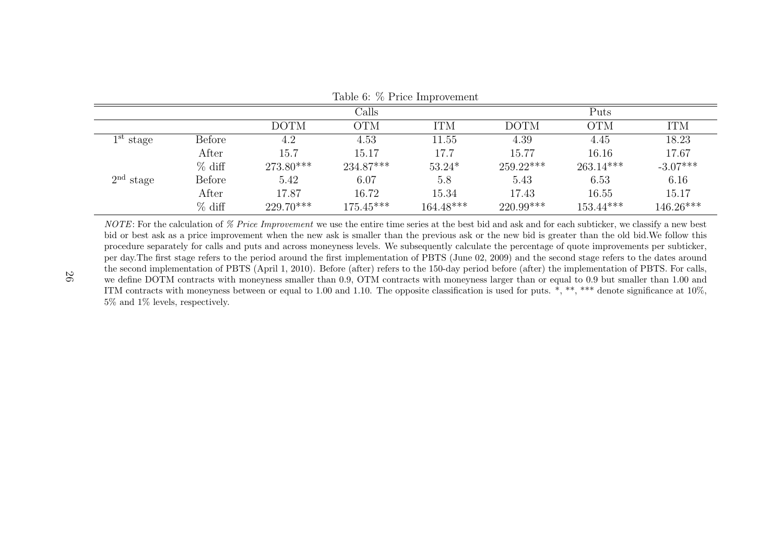| $10010$ of $10100$ $1000$ |          |             |             |             |             |             |             |  |  |  |
|---------------------------|----------|-------------|-------------|-------------|-------------|-------------|-------------|--|--|--|
|                           |          |             | Calls       |             |             | Puts        |             |  |  |  |
|                           |          | DOTM        | <b>OTM</b>  | <b>ITM</b>  | <b>DOTM</b> | <b>OTM</b>  | <b>ITM</b>  |  |  |  |
| $1st$ stage               | Before   | 4.2         | 4.53        | 11.55       | 4.39        | 4.45        | 18.23       |  |  |  |
|                           | After    | 15.7        | 15.17       | 17.7        | 15.77       | 16.16       | 17.67       |  |  |  |
|                           | $%$ diff | $273.80***$ | $234.87***$ | $53.24*$    | $259.22***$ | $263.14***$ | $-3.07***$  |  |  |  |
| $2nd$ stage               | Before   | 5.42        | 6.07        | 5.8         | 5.43        | 6.53        | 6.16        |  |  |  |
|                           | After    | 17.87       | 16.72       | 15.34       | 17.43       | 16.55       | 15.17       |  |  |  |
|                           | $%$ diff | $229.70***$ | $175.45***$ | $164.48***$ | $220.99***$ | $153.44***$ | $146.26***$ |  |  |  |

Table 6: % Price Improvement

NOTE: For the calculation of  $\%$  Price Improvement we use the entire time series at the best bid and ask and for each subticker, we classify a new best bid or best ask as a price improvement when the new ask is smaller than the previous ask or the new bid is greater than the old bid.We follow this procedure separately for calls and puts and across moneyness levels. We subsequently calculate the percentage of quote improvements per subticker, per day.The first stage refers to the period around the first implementation of PBTS (June 02, 2009) and the second stage refers to the dates around the second implementation of PBTS (April 1, 2010). Before (after) refers to the 150-day period before (after) the implementation of PBTS. For calls, we define DOTM contracts with moneyness smaller than 0.9, OTM contracts with moneyness larger than or equal to 0.9 but smaller than 1.00 and ITM contracts with moneyness between or equal to 1.00 and 1.10. The opposite classification is used for puts. \*, \*\*, \*\*\* denote significance at 10%, 5% and 1% levels, respectively.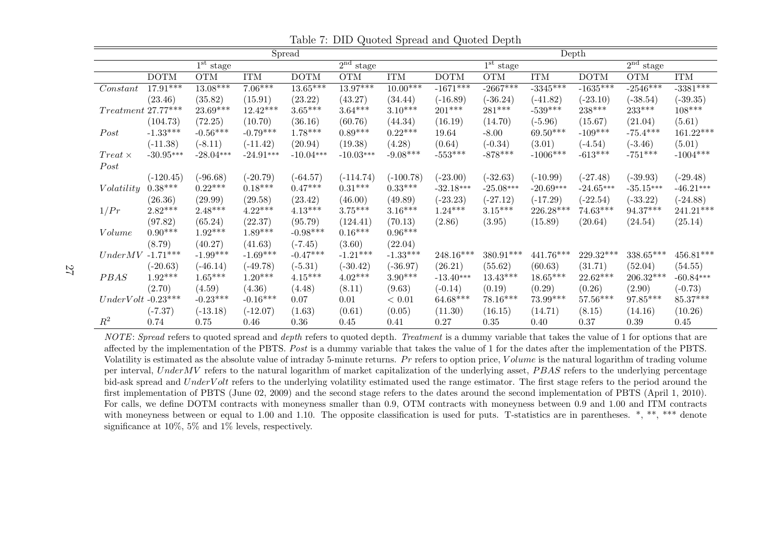| Spread               |             |                               |             |             |                       |             |             | Depth       |             |             |             |             |
|----------------------|-------------|-------------------------------|-------------|-------------|-----------------------|-------------|-------------|-------------|-------------|-------------|-------------|-------------|
|                      |             | $\overline{1}^{\rm st}$ stage |             |             | 2 <sup>nd</sup> stage |             |             | $1st$ stage |             |             | $2nd$ stage |             |
|                      | <b>DOTM</b> | <b>OTM</b>                    | <b>ITM</b>  | <b>DOTM</b> | <b>OTM</b>            | <b>ITM</b>  | <b>DOTM</b> | <b>OTM</b>  | <b>ITM</b>  | <b>DOTM</b> | <b>OTM</b>  | <b>ITM</b>  |
| Constant             | $17.91***$  | $13.08***$                    | $7.06***$   | $13.65***$  | $13.97***$            | $10.00***$  | $-1671***$  | $-2667***$  | $-3345***$  | $-1635***$  | $-2546***$  | $-3381***$  |
|                      | (23.46)     | (35.82)                       | (15.91)     | (23.22)     | (43.27)               | (34.44)     | $(-16.89)$  | $(-36.24)$  | $(-41.82)$  | $(-23.10)$  | $(-38.54)$  | $(-39.35)$  |
| $Treatment$ 27.77*** |             | 23.69***                      | $12.42***$  | $3.65***$   | $3.64***$             | $3.10***$   | $201***$    | 281***      | $-539***$   | 238***      | $233***$    | $108***$    |
|                      | (104.73)    | (72.25)                       | (10.70)     | (36.16)     | (60.76)               | (44.34)     | (16.19)     | (14.70)     | $(-5.96)$   | (15.67)     | (21.04)     | (5.61)      |
| Post                 | $-1.33***$  | $-0.56***$                    | $-0.79***$  | $1.78***$   | $0.89***$             | $0.22***$   | 19.64       | $-8.00$     | $69.50***$  | $-109***$   | $-75.4***$  | $161.22***$ |
|                      | $(-11.38)$  | $(-8.11)$                     | $(-11.42)$  | (20.94)     | (19.38)               | (4.28)      | (0.64)      | $(-0.34)$   | (3.01)      | $(-4.54)$   | $(-3.46)$   | (5.01)      |
| $Treat \times$       | $-30.95***$ | $-28.04***$                   | $-24.91***$ | $-10.04***$ | $-10.03***$           | $-9.08***$  | $-553***$   | $-878***$   | $-1006***$  | $-613***$   | $-751***$   | $-1004***$  |
| Post                 |             |                               |             |             |                       |             |             |             |             |             |             |             |
|                      | $(-120.45)$ | $(-96.68)$                    | $(-20.79)$  | $(-64.57)$  | $(-114.74)$           | $(-100.78)$ | $(-23.00)$  | $(-32.63)$  | $(-10.99)$  | $(-27.48)$  | $(-39.93)$  | $(-29.48)$  |
| Volatility           | $0.38***$   | $0.22***$                     | $0.18***$   | $0.47***$   | $0.31***$             | $0.33***$   | $-32.18***$ | $-25.08***$ | $-20.69***$ | $-24.65***$ | $-35.15***$ | $-46.21***$ |
|                      | (26.36)     | (29.99)                       | (29.58)     | (23.42)     | (46.00)               | (49.89)     | $(-23.23)$  | $(-27.12)$  | $(-17.29)$  | $-22.54)$   | $(-33.22)$  | $(-24.88)$  |
| 1/Pr                 | $2.82***$   | $2.48***$                     | $4.22***$   | $4.13***$   | $3.75***$             | $3.16***$   | $1.24***$   | $3.15***$   | 226.28***   | $74.63***$  | 94.37***    | $241.21***$ |
|                      | (97.82)     | (65.24)                       | (22.37)     | (95.79)     | (124.41)              | (70.13)     | (2.86)      | (3.95)      | (15.89)     | (20.64)     | (24.54)     | (25.14)     |
| Volume               | $0.90***$   | $1.92***$                     | $1.89***$   | $-0.98***$  | $0.16***$             | $0.96***$   |             |             |             |             |             |             |
|                      | (8.79)      | (40.27)                       | (41.63)     | $(-7.45)$   | (3.60)                | (22.04)     |             |             |             |             |             |             |
| UnderMV              | $-1.71***$  | $-1.99***$                    | $-1.69***$  | $-0.47***$  | $-1.21***$            | $-1.33***$  | $248.16***$ | $380.91***$ | $441.76***$ | 229.32***   | 338.65***   | $456.81***$ |
|                      | $(-20.63)$  | $(-46.14)$                    | $(-49.78)$  | $(-5.31)$   | $(-30.42)$            | $(-36.97)$  | (26.21)     | (55.62)     | (60.63)     | (31.71)     | (52.04)     | (54.55)     |
| PBAS                 | $1.92***$   | $1.65***$                     | $1.20***$   | $4.15***$   | $4.02***$             | $3.90***$   | $-13.40***$ | $13.43***$  | $18.65***$  | $22.62***$  | $206.32***$ | $-60.84***$ |
|                      | (2.70)      | (4.59)                        | (4.36)      | (4.48)      | (8.11)                | (9.63)      | $(-0.14)$   | (0.19)      | (0.29)      | (0.26)      | (2.90)      | $(-0.73)$   |
| $UnderVolt$ -0.23*** |             | $-0.23***$                    | $-0.16***$  | 0.07        | 0.01                  | < 0.01      | $64.68***$  | $78.16***$  | 73.99***    | $57.56***$  | $97.85***$  | $85.37***$  |
|                      | $(-7.37)$   | $(-13.18)$                    | $(-12.07)$  | (1.63)      | (0.61)                | (0.05)      | (11.30)     | (16.15)     | (14.71)     | (8.15)      | (14.16)     | (10.26)     |
| $\mathbb{R}^2$       | 0.74        | 0.75                          | 0.46        | 0.36        | $0.45\,$              | 0.41        | 0.27        | 0.35        | 0.40        | 0.37        | 0.39        | 0.45        |

Table 7: DID Quoted Spread and Quoted Depth

NOTE: Spread refers to quoted spread and depth refers to quoted depth. Treatment is a dummy variable that takes the value of 1 for options that are affected by the implementation of the PBTS. Post is a dummy variable that takes the value of 1 for the dates after the implementation of the PBTS. Volatility is estimated as the absolute value of intraday 5-minute returns. Pr refers to option price,  $Volume$  is the natural logarithm of trading volume per interval, UnderMV refers to the natural logarithm of market capitalization of the underlying asset, PBAS refers to the underlying percentage bid-ask spread and UnderV olt refers to the underlying volatility estimated used the range estimator. The first stage refers to the period around the first implementation of PBTS (June 02, 2009) and the second stage refers to the dates around the second implementation of PBTS (April 1, 2010). For calls, we define DOTM contracts with moneyness smaller than 0.9, OTM contracts with moneyness between 0.9 and 1.00 and ITM contracts with moneyness between or equal to 1.00 and 1.10. The opposite classification is used for puts. T-statistics are in parentheses. \*, \*\*, \*\*\* denote significance at 10%, 5% and 1% levels, respectively.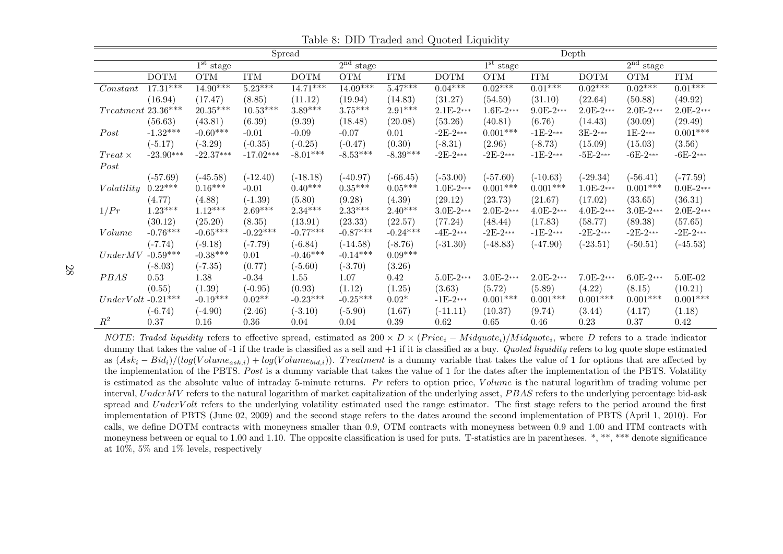| Spread                           |             |                                  |             |             |                           |                       |             |                           |             | Depth       |                           |             |
|----------------------------------|-------------|----------------------------------|-------------|-------------|---------------------------|-----------------------|-------------|---------------------------|-------------|-------------|---------------------------|-------------|
|                                  |             | $\overline{1}^{\text{st}}$ stage |             |             | $\overline{2^{nd}}$ stage |                       |             | $\overline{1^{st}}$ stage |             |             | $\overline{2^{nd}}$ stage |             |
|                                  | <b>DOTM</b> | <b>OTM</b>                       | <b>ITM</b>  | <b>DOTM</b> | <b>OTM</b>                | <b>ITM</b>            | <b>DOTM</b> | $\overline{\text{OTM}}$   | <b>ITM</b>  | <b>DOTM</b> | OTM                       | <b>ITM</b>  |
| Constant                         | $17.31***$  | $14.90***$                       | $5.23***$   | $14.71***$  | $14.09***$                | $5.47***$             | $0.04***$   | $0.02***$                 | $0.01***$   | $0.02***$   | $0.02***$                 | $0.01***$   |
|                                  | (16.94)     | (17.47)                          | (8.85)      | (11.12)     | (19.94)                   | (14.83)               | (31.27)     | (54.59)                   | (31.10)     | (22.64)     | (50.88)                   | (49.92)     |
| $Treatment\ 23.36***$            |             | $20.35***$                       | $10.53***$  | $3.89***$   | $3.75***$                 | $2.91^{\ast\ast\ast}$ | $2.1E-2***$ | $1.6E-2***$               | $9.0E-2***$ | $2.0E-2***$ | $2.0E-2***$               | $2.0E-2***$ |
|                                  | (56.63)     | (43.81)                          | (6.39)      | (9.39)      | (18.48)                   | (20.08)               | (53.26)     | (40.81)                   | (6.76)      | (14.43)     | (30.09)                   | (29.49)     |
| Post                             | $-1.32***$  | $-0.60***$                       | $-0.01$     | $-0.09$     | $-0.07$                   | 0.01                  | $-2E-2***$  | $0.001***$                | $-1E-2***$  | $3E-2***$   | $1E-2***$                 | $0.001***$  |
|                                  | $(-5.17)$   | $(-3.29)$                        | $(-0.35)$   | $(-0.25)$   | $(-0.47)$                 | (0.30)                | $(-8.31)$   | (2.96)                    | $(-8.73)$   | (15.09)     | (15.03)                   | (3.56)      |
| $Treat \times$                   | $-23.90***$ | $-22.37***$                      | $-17.02***$ | $-8.01***$  | $-8.53***$                | $-8.39***$            | $-2E-2***$  | $-2E-2***$                | $-1E-2***$  | $-5E-2***$  | $-6E-2***$                | $-6E-2***$  |
| Post                             |             |                                  |             |             |                           |                       |             |                           |             |             |                           |             |
|                                  | $(-57.69)$  | $(-45.58)$                       | $(-12.40)$  | $(-18.18)$  | $(-40.97)$                | $(-66.45)$            | $(-53.00)$  | $(-57.60)$                | $(-10.63)$  | $(-29.34)$  | $(-56.41)$                | $(-77.59)$  |
| Volatility                       | $0.22***$   | $0.16***$                        | $-0.01$     | $0.40***$   | $0.35***$                 | $0.05***$             | $1.0E-2***$ | $0.001***$                | $0.001***$  | $1.0E-2***$ | $0.001***$                | $0.0E-2***$ |
|                                  | (4.77)      | (4.88)                           | $(-1.39)$   | (5.80)      | (9.28)                    | (4.39)                | (29.12)     | (23.73)                   | (21.67)     | (17.02)     | (33.65)                   | (36.31)     |
| 1/Pr                             | $1.23***$   | $1.12***$                        | $2.69***$   | $2.34***$   | $2.33***$                 | $2.40***$             | $3.0E-2***$ | $2.0E-2***$               | $4.0E-2***$ | $4.0E-2***$ | $3.0E-2***$               | $2.0E-2***$ |
|                                  | (30.12)     | (25.20)                          | (8.35)      | (13.91)     | (23.33)                   | (22.57)               | (77.24)     | (48.44)                   | (17.83)     | (58.77)     | (89.38)                   | (57.65)     |
| Volume                           | $-0.76***$  | $-0.65***$                       | $-0.22***$  | $-0.77***$  | $-0.87***$                | $-0.24***$            | $-4E-2***$  | $-2E-2***$                | $-1E-2***$  | $-2E-2***$  | $-2E-2***$                | $-2E-2***$  |
|                                  | $(-7.74)$   | $(-9.18)$                        | $(-7.79)$   | $(-6.84)$   | $(-14.58)$                | $(-8.76)$             | $(-31.30)$  | $(-48.83)$                | $(-47.90)$  | $(-23.51)$  | $(-50.51)$                | $(-45.53)$  |
| UnderMV                          | $-0.59***$  | $-0.38***$                       | 0.01        | $-0.46***$  | $-0.14***$                | $0.09***$             |             |                           |             |             |                           |             |
|                                  | $(-8.03)$   | $(-7.35)$                        | (0.77)      | $(-5.60)$   | $(-3.70)$                 | (3.26)                |             |                           |             |             |                           |             |
| PBAS                             | 0.53        | 1.38                             | $-0.34$     | 1.55        | 1.07                      | 0.42                  | $5.0E-2***$ | $3.0E-2***$               | $2.0E-2***$ | $7.0E-2***$ | $6.0E-2***$               | 5.0E-02     |
|                                  | (0.55)      | (1.39)                           | $(-0.95)$   | (0.93)      | (1.12)                    | (1.25)                | (3.63)      | (5.72)                    | (5.89)      | (4.22)      | (8.15)                    | (10.21)     |
| $UnderVolt$ -0.21 $\ast\ast\ast$ |             | $-0.19***$                       | $0.02**$    | $-0.23***$  | $-0.25***$                | $0.02*$               | $-1E-2***$  | $0.001^{***}\,$           | $0.001***$  | $0.001***$  | $0.001***$                | $0.001***$  |
|                                  | $(-6.74)$   | $(-4.90)$                        | (2.46)      | $(-3.10)$   | $(-5.90)$                 | (1.67)                | $(-11.11)$  | (10.37)                   | (9.74)      | (3.44)      | (4.17)                    | (1.18)      |
| $R^2$                            | 0.37        | 0.16                             | $0.36\,$    | 0.04        | 0.04                      | $0.39\,$              | 0.62        | 0.65                      | 0.46        | 0.23        | 0.37                      | 0.42        |

Table 8: DID Traded and Quoted Liquidity

NOTE: Traded liquidity refers to effective spread, estimated as  $200 \times D \times (Price_i - Midquote_i) / Midquote_i$ , where D refers to a trade indicator dummy that takes the value of  $-1$  if the trade is classified as a sell and  $+1$  if it is classified as a buy. Quoted liquidity refers to log quote slope estimated as  $(Ask_i - Bid_i)/(log(Volume_{ask,i}) + log(Volume_{bid,i}))$ . Treatment is a dummy variable that takes the value of 1 for options that are affected by the implementation of the PBTS. Post is a dummy variable that takes the value of 1 for the dates after the implementation of the PBTS. Volatility is estimated as the absolute value of intraday 5-minute returns. Pr refers to option price,  $Volume$  is the natural logarithm of trading volume per interval, UnderMV refers to the natural logarithm of market capitalization of the underlying asset, PBAS refers to the underlying percentage bid-ask spread and UnderVolt refers to the underlying volatility estimated used the range estimator. The first stage refers to the period around the first implementation of PBTS (June 02, 2009) and the second stage refers to the dates around the second implementation of PBTS (April 1, 2010). For calls, we define DOTM contracts with moneyness smaller than 0.9, OTM contracts with moneyness between 0.9 and 1.00 and ITM contracts with moneyness between or equal to 1.00 and 1.10. The opposite classification is used for puts. T-statistics are in parentheses. \*, \*\*, \*\*\* denote significance at 10%, 5% and 1% levels, respectively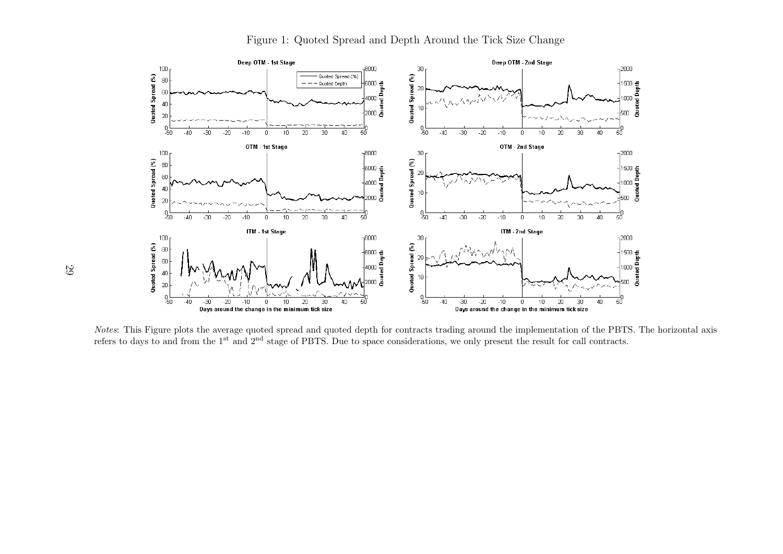

Figure 1: Quoted Spread and Depth Around the Tick Size Change

Notes: This Figure plots the average quoted spread and quoted depth for contracts trading around the implementation of the PBTS. The horizontal axis refers to days to and from the 1st and 2nd stage of PBTS. Due to space considerations, we only present the result for call contracts.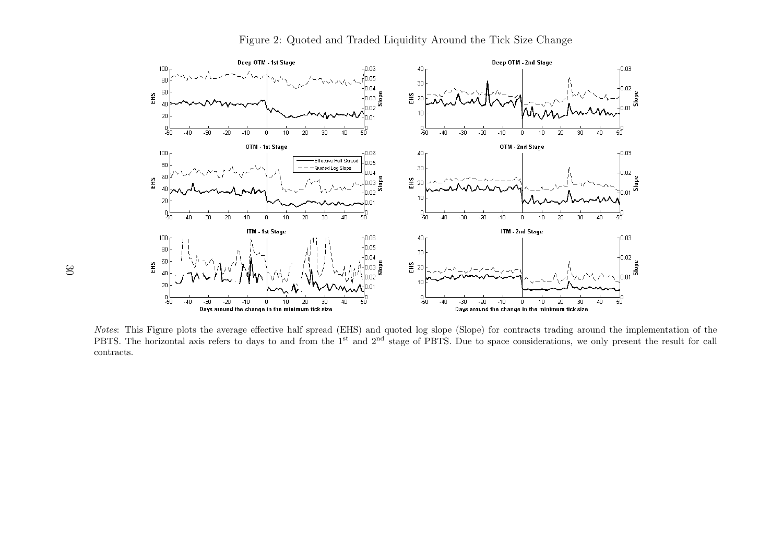

Figure 2: Quoted and Traded Liquidity Around the Tick Size Change

Notes: This Figure plots the average effective half spread (EHS) and quoted log slope (Slope) for contracts trading around the implementation of the PBTS. The horizontal axis refers to days to and from the 1<sup>st</sup> and 2<sup>nd</sup> stage of PBTS. Due to space considerations, we only present the result for call contracts.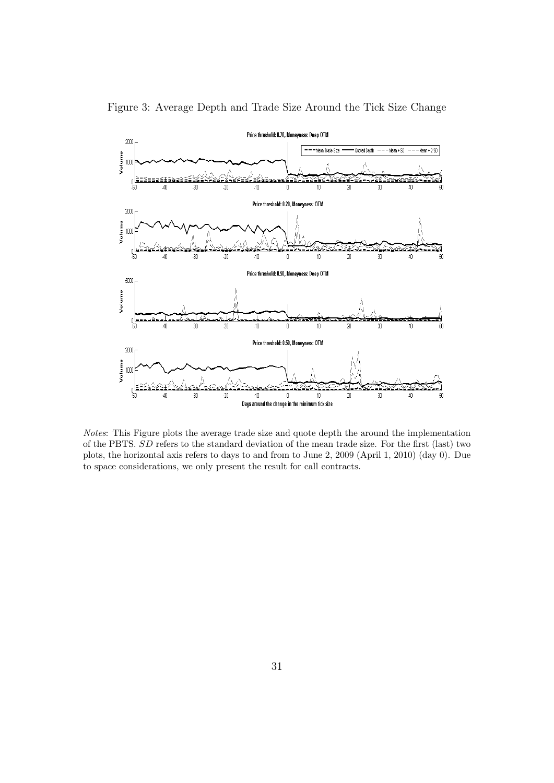

Figure 3: Average Depth and Trade Size Around the Tick Size Change

Notes: This Figure plots the average trade size and quote depth the around the implementation of the PBTS. SD refers to the standard deviation of the mean trade size. For the first (last) two plots, the horizontal axis refers to days to and from to June 2, 2009 (April 1, 2010) (day 0). Due to space considerations, we only present the result for call contracts.